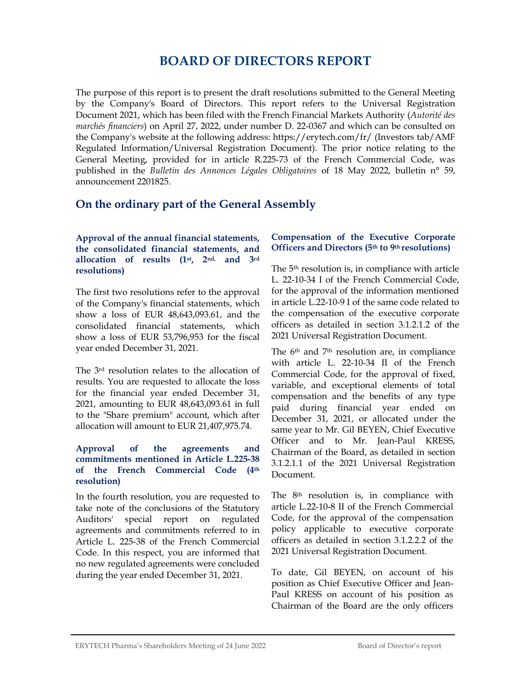# BOARD OF DIRECTORS REPORT

The purpose of this report is to present the draft resolutions submitted to the General Meeting by the Company's Board of Directors. This report refers to the Universal Registration Document 2021, which has been filed with the French Financial Markets Authority (Autorité des marchés financiers) on April 27, 2022, under number D. 22-0367 and which can be consulted on the Company's website at the following address: https://erytech.com/fr/ (Investors tab/AMF Regulated Information/Universal Registration Document). The prior notice relating to the General Meeting, provided for in article R.225-73 of the French Commercial Code, was published in the Bulletin des Annonces Légales Obligatoires of 18 May 2022, bulletin n° 59, announcement 2201825.

# On the ordinary part of the General Assembly

#### Approval of the annual financial statements, the consolidated financial statements, and allocation of results (1st, 2nd, and 3rd resolutions)

The first two resolutions refer to the approval of the Company's financial statements, which show a loss of EUR 48,643,093.61, and the consolidated financial statements, which show a loss of EUR 53,796,953 for the fiscal year ended December 31, 2021.

The 3rd resolution relates to the allocation of results. You are requested to allocate the loss for the financial year ended December 31, 2021, amounting to EUR 48,643,093.61 in full to the "Share premium" account, which after allocation will amount to EUR 21,407,975.74.

#### Approval of the agreements and commitments mentioned in Article L.225-38 of the French Commercial Code (4th resolution)

In the fourth resolution, you are requested to take note of the conclusions of the Statutory Auditors' special report on regulated agreements and commitments referred to in Article L. 225-38 of the French Commercial Code. In this respect, you are informed that no new regulated agreements were concluded during the year ended December 31, 2021.

#### Compensation of the Executive Corporate Officers and Directors (5<sup>th</sup> to 9<sup>th</sup> resolutions)

The 5th resolution is, in compliance with article L. 22-10-34 I of the French Commercial Code, for the approval of the information mentioned in article L.22-10-9 I of the same code related to the compensation of the executive corporate officers as detailed in section 3.1.2.1.2 of the 2021 Universal Registration Document.

The 6th and 7th resolution are, in compliance with article L. 22-10-34 II of the French Commercial Code, for the approval of fixed, variable, and exceptional elements of total compensation and the benefits of any type paid during financial year ended on December 31, 2021, or allocated under the same year to Mr. Gil BEYEN, Chief Executive Officer and to Mr. Jean-Paul KRESS, Chairman of the Board, as detailed in section 3.1.2.1.1 of the 2021 Universal Registration Document.

The 8<sup>th</sup> resolution is, in compliance with article L.22-10-8 II of the French Commercial Code, for the approval of the compensation policy applicable to executive corporate officers as detailed in section 3.1.2.2.2 of the 2021 Universal Registration Document.

To date, Gil BEYEN, on account of his position as Chief Executive Officer and Jean-Paul KRESS on account of his position as Chairman of the Board are the only officers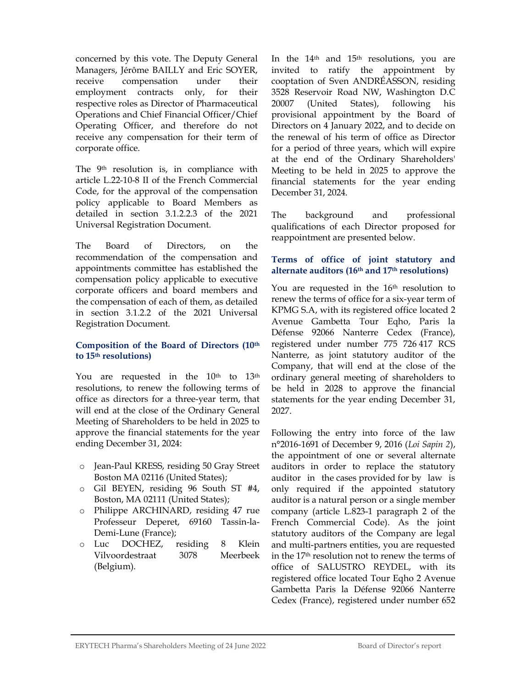concerned by this vote. The Deputy General Managers, Jérôme BAILLY and Eric SOYER, receive compensation under their employment contracts only, for their respective roles as Director of Pharmaceutical Operations and Chief Financial Officer/Chief Operating Officer, and therefore do not receive any compensation for their term of corporate office.

The 9<sup>th</sup> resolution is, in compliance with article L.22-10-8 II of the French Commercial Code, for the approval of the compensation policy applicable to Board Members as detailed in section 3.1.2.2.3 of the 2021 Universal Registration Document.

The Board of Directors, on the recommendation of the compensation and appointments committee has established the compensation policy applicable to executive corporate officers and board members and the compensation of each of them, as detailed in section 3.1.2.2 of the 2021 Universal Registration Document.

# Composition of the Board of Directors (10th to 15th resolutions)

You are requested in the 10<sup>th</sup> to 13<sup>th</sup> resolutions, to renew the following terms of office as directors for a three-year term, that will end at the close of the Ordinary General Meeting of Shareholders to be held in 2025 to approve the financial statements for the year ending December 31, 2024:

- o Jean-Paul KRESS, residing 50 Gray Street Boston MA 02116 (United States);
- o Gil BEYEN, residing 96 South ST #4, Boston, MA 02111 (United States);
- o Philippe ARCHINARD, residing 47 rue Professeur Deperet, 69160 Tassin-la-Demi-Lune (France);
- o Luc DOCHEZ, residing 8 Klein Vilvoordestraat 3078 Meerbeek (Belgium).

In the  $14<sup>th</sup>$  and  $15<sup>th</sup>$  resolutions, you are invited to ratify the appointment by cooptation of Sven ANDRÉASSON, residing 3528 Reservoir Road NW, Washington D.C 20007 (United States), following his provisional appointment by the Board of Directors on 4 January 2022, and to decide on the renewal of his term of office as Director for a period of three years, which will expire at the end of the Ordinary Shareholders' Meeting to be held in 2025 to approve the financial statements for the year ending December 31, 2024.

The background and professional qualifications of each Director proposed for reappointment are presented below.

# Terms of office of joint statutory and alternate auditors  $(16<sup>th</sup>$  and  $17<sup>th</sup>$  resolutions)

You are requested in the 16<sup>th</sup> resolution to renew the terms of office for a six-year term of KPMG S.A, with its registered office located 2 Avenue Gambetta Tour Eqho, Paris la Défense 92066 Nanterre Cedex (France), registered under number 775 726 417 RCS Nanterre, as joint statutory auditor of the Company, that will end at the close of the ordinary general meeting of shareholders to be held in 2028 to approve the financial statements for the year ending December 31, 2027.

Following the entry into force of the law n°2016-1691 of December 9, 2016 (Loi Sapin 2), the appointment of one or several alternate auditors in order to replace the statutory auditor in the cases provided for by law is only required if the appointed statutory auditor is a natural person or a single member company (article L.823-1 paragraph 2 of the French Commercial Code). As the joint statutory auditors of the Company are legal and multi-partners entities, you are requested in the 17th resolution not to renew the terms of office of SALUSTRO REYDEL, with its registered office located Tour Eqho 2 Avenue Gambetta Paris la Défense 92066 Nanterre Cedex (France), registered under number 652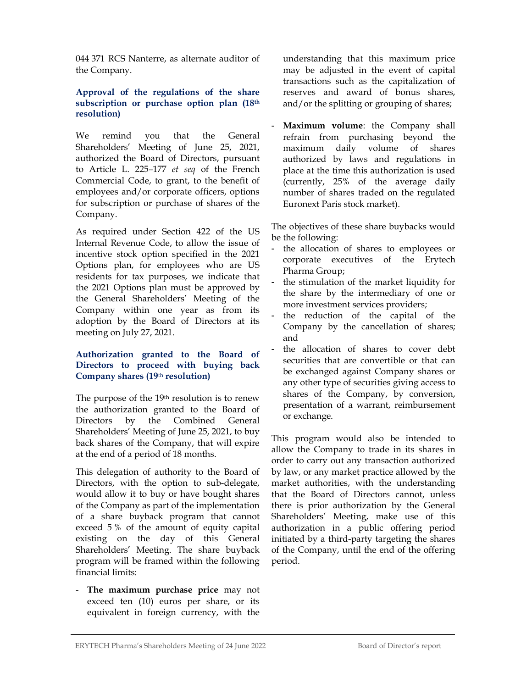044 371 RCS Nanterre, as alternate auditor of the Company.

#### Approval of the regulations of the share subscription or purchase option plan (18th resolution)

We remind you that the General Shareholders' Meeting of June 25, 2021, authorized the Board of Directors, pursuant to Article L. 225–177 et seq of the French Commercial Code, to grant, to the benefit of employees and/or corporate officers, options for subscription or purchase of shares of the Company.

As required under Section 422 of the US Internal Revenue Code, to allow the issue of incentive stock option specified in the 2021 Options plan, for employees who are US residents for tax purposes, we indicate that the 2021 Options plan must be approved by the General Shareholders' Meeting of the Company within one year as from its adoption by the Board of Directors at its meeting on July 27, 2021.

#### Authorization granted to the Board of Directors to proceed with buying back Company shares (19th resolution)

The purpose of the 19th resolution is to renew the authorization granted to the Board of Directors by the Combined General Shareholders' Meeting of June 25, 2021, to buy back shares of the Company, that will expire at the end of a period of 18 months.

This delegation of authority to the Board of Directors, with the option to sub-delegate, would allow it to buy or have bought shares of the Company as part of the implementation of a share buyback program that cannot exceed 5 % of the amount of equity capital existing on the day of this General Shareholders' Meeting. The share buyback program will be framed within the following financial limits:

- The maximum purchase price may not exceed ten (10) euros per share, or its equivalent in foreign currency, with the understanding that this maximum price may be adjusted in the event of capital transactions such as the capitalization of reserves and award of bonus shares, and/or the splitting or grouping of shares;

Maximum volume: the Company shall refrain from purchasing beyond the maximum daily volume of shares authorized by laws and regulations in place at the time this authorization is used (currently, 25% of the average daily number of shares traded on the regulated Euronext Paris stock market).

The objectives of these share buybacks would be the following:

- the allocation of shares to employees or corporate executives of the Erytech Pharma Group;
- the stimulation of the market liquidity for the share by the intermediary of one or more investment services providers;
- the reduction of the capital of the Company by the cancellation of shares; and
- the allocation of shares to cover debt securities that are convertible or that can be exchanged against Company shares or any other type of securities giving access to shares of the Company, by conversion, presentation of a warrant, reimbursement or exchange.

This program would also be intended to allow the Company to trade in its shares in order to carry out any transaction authorized by law, or any market practice allowed by the market authorities, with the understanding that the Board of Directors cannot, unless there is prior authorization by the General Shareholders' Meeting, make use of this authorization in a public offering period initiated by a third-party targeting the shares of the Company, until the end of the offering period.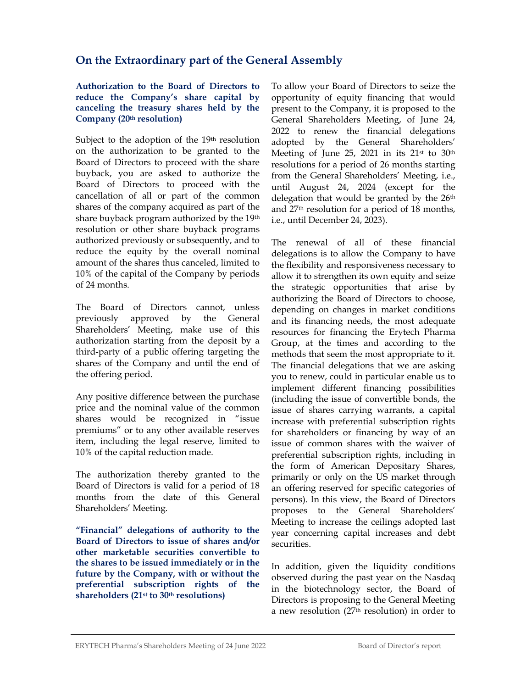# On the Extraordinary part of the General Assembly

## Authorization to the Board of Directors to reduce the Company's share capital by canceling the treasury shares held by the Company (20th resolution)

Subject to the adoption of the 19<sup>th</sup> resolution on the authorization to be granted to the Board of Directors to proceed with the share buyback, you are asked to authorize the Board of Directors to proceed with the cancellation of all or part of the common shares of the company acquired as part of the share buyback program authorized by the 19th resolution or other share buyback programs authorized previously or subsequently, and to reduce the equity by the overall nominal amount of the shares thus canceled, limited to 10% of the capital of the Company by periods of 24 months.

The Board of Directors cannot, unless previously approved by the General Shareholders' Meeting, make use of this authorization starting from the deposit by a third-party of a public offering targeting the shares of the Company and until the end of the offering period.

Any positive difference between the purchase price and the nominal value of the common shares would be recognized in "issue premiums" or to any other available reserves item, including the legal reserve, limited to 10% of the capital reduction made.

The authorization thereby granted to the Board of Directors is valid for a period of 18 months from the date of this General Shareholders' Meeting.

"Financial" delegations of authority to the Board of Directors to issue of shares and/or other marketable securities convertible to the shares to be issued immediately or in the future by the Company, with or without the preferential subscription rights of the shareholders (21st to 30th resolutions)

To allow your Board of Directors to seize the opportunity of equity financing that would present to the Company, it is proposed to the General Shareholders Meeting, of June 24, 2022 to renew the financial delegations adopted by the General Shareholders' Meeting of June 25, 2021 in its 21st to 30th resolutions for a period of 26 months starting from the General Shareholders' Meeting, i.e., until August 24, 2024 (except for the delegation that would be granted by the 26<sup>th</sup> and 27th resolution for a period of 18 months, i.e., until December 24, 2023).

The renewal of all of these financial delegations is to allow the Company to have the flexibility and responsiveness necessary to allow it to strengthen its own equity and seize the strategic opportunities that arise by authorizing the Board of Directors to choose, depending on changes in market conditions and its financing needs, the most adequate resources for financing the Erytech Pharma Group, at the times and according to the methods that seem the most appropriate to it. The financial delegations that we are asking you to renew, could in particular enable us to implement different financing possibilities (including the issue of convertible bonds, the issue of shares carrying warrants, a capital increase with preferential subscription rights for shareholders or financing by way of an issue of common shares with the waiver of preferential subscription rights, including in the form of American Depositary Shares, primarily or only on the US market through an offering reserved for specific categories of persons). In this view, the Board of Directors proposes to the General Shareholders' Meeting to increase the ceilings adopted last year concerning capital increases and debt securities.

In addition, given the liquidity conditions observed during the past year on the Nasdaq in the biotechnology sector, the Board of Directors is proposing to the General Meeting a new resolution (27th resolution) in order to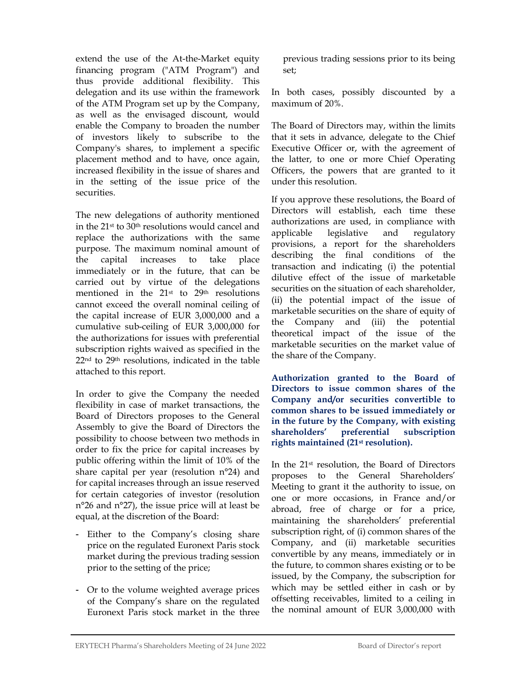extend the use of the At-the-Market equity financing program ("ATM Program") and thus provide additional flexibility. This delegation and its use within the framework of the ATM Program set up by the Company, as well as the envisaged discount, would enable the Company to broaden the number of investors likely to subscribe to the Company's shares, to implement a specific placement method and to have, once again, increased flexibility in the issue of shares and in the setting of the issue price of the securities.

The new delegations of authority mentioned in the 21st to 30th resolutions would cancel and replace the authorizations with the same purpose. The maximum nominal amount of the capital increases to take place immediately or in the future, that can be carried out by virtue of the delegations mentioned in the 21st to 29th resolutions cannot exceed the overall nominal ceiling of the capital increase of EUR 3,000,000 and a cumulative sub-ceiling of EUR 3,000,000 for the authorizations for issues with preferential subscription rights waived as specified in the 22nd to 29th resolutions, indicated in the table attached to this report.

In order to give the Company the needed flexibility in case of market transactions, the Board of Directors proposes to the General Assembly to give the Board of Directors the possibility to choose between two methods in order to fix the price for capital increases by public offering within the limit of 10% of the share capital per year (resolution n°24) and for capital increases through an issue reserved for certain categories of investor (resolution n°26 and n°27), the issue price will at least be equal, at the discretion of the Board:

- Either to the Company's closing share price on the regulated Euronext Paris stock market during the previous trading session prior to the setting of the price;
- Or to the volume weighted average prices of the Company's share on the regulated Euronext Paris stock market in the three

previous trading sessions prior to its being set;

In both cases, possibly discounted by a maximum of 20%.

The Board of Directors may, within the limits that it sets in advance, delegate to the Chief Executive Officer or, with the agreement of the latter, to one or more Chief Operating Officers, the powers that are granted to it under this resolution.

If you approve these resolutions, the Board of Directors will establish, each time these authorizations are used, in compliance with applicable legislative and regulatory provisions, a report for the shareholders describing the final conditions of the transaction and indicating (i) the potential dilutive effect of the issue of marketable securities on the situation of each shareholder, (ii) the potential impact of the issue of marketable securities on the share of equity of the Company and (iii) the potential theoretical impact of the issue of the marketable securities on the market value of the share of the Company.

Authorization granted to the Board of Directors to issue common shares of the Company and/or securities convertible to common shares to be issued immediately or in the future by the Company, with existing shareholders' preferential subscription rights maintained (21st resolution).

In the 21st resolution, the Board of Directors proposes to the General Shareholders' Meeting to grant it the authority to issue, on one or more occasions, in France and/or abroad, free of charge or for a price, maintaining the shareholders' preferential subscription right, of (i) common shares of the Company, and (ii) marketable securities convertible by any means, immediately or in the future, to common shares existing or to be issued, by the Company, the subscription for which may be settled either in cash or by offsetting receivables, limited to a ceiling in the nominal amount of EUR 3,000,000 with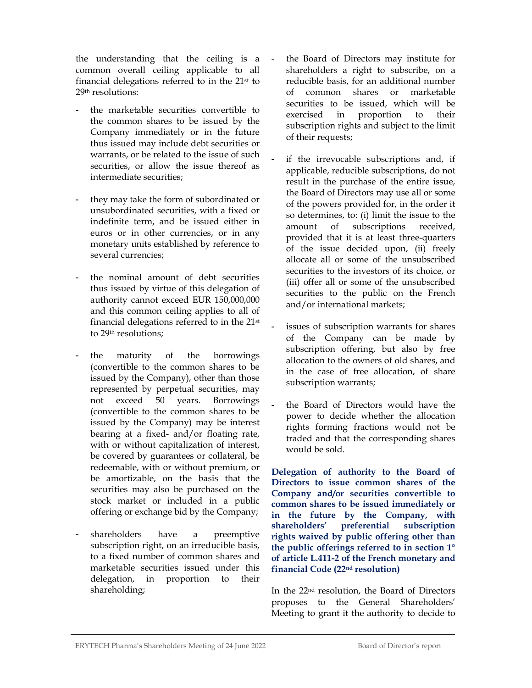the understanding that the ceiling is a common overall ceiling applicable to all financial delegations referred to in the 21st to 29th resolutions:

- the marketable securities convertible to the common shares to be issued by the Company immediately or in the future thus issued may include debt securities or warrants, or be related to the issue of such securities, or allow the issue thereof as intermediate securities;
- they may take the form of subordinated or unsubordinated securities, with a fixed or indefinite term, and be issued either in euros or in other currencies, or in any monetary units established by reference to several currencies;
- the nominal amount of debt securities thus issued by virtue of this delegation of authority cannot exceed EUR 150,000,000 and this common ceiling applies to all of financial delegations referred to in the 21st to 29th resolutions;
- the maturity of the borrowings (convertible to the common shares to be issued by the Company), other than those represented by perpetual securities, may not exceed 50 years. Borrowings (convertible to the common shares to be issued by the Company) may be interest bearing at a fixed- and/or floating rate, with or without capitalization of interest, be covered by guarantees or collateral, be redeemable, with or without premium, or be amortizable, on the basis that the securities may also be purchased on the stock market or included in a public offering or exchange bid by the Company;
- shareholders have a preemptive subscription right, on an irreducible basis, to a fixed number of common shares and marketable securities issued under this delegation, in proportion to their shareholding;

the Board of Directors may institute for shareholders a right to subscribe, on a reducible basis, for an additional number of common shares or marketable securities to be issued, which will be exercised in proportion to their subscription rights and subject to the limit of their requests;

- if the irrevocable subscriptions and, if applicable, reducible subscriptions, do not result in the purchase of the entire issue, the Board of Directors may use all or some of the powers provided for, in the order it so determines, to: (i) limit the issue to the amount of subscriptions received, provided that it is at least three-quarters of the issue decided upon, (ii) freely allocate all or some of the unsubscribed securities to the investors of its choice, or (iii) offer all or some of the unsubscribed securities to the public on the French and/or international markets;
- issues of subscription warrants for shares of the Company can be made by subscription offering, but also by free allocation to the owners of old shares, and in the case of free allocation, of share subscription warrants;
- the Board of Directors would have the power to decide whether the allocation rights forming fractions would not be traded and that the corresponding shares would be sold.

Delegation of authority to the Board of Directors to issue common shares of the Company and/or securities convertible to common shares to be issued immediately or in the future by the Company, with shareholders' preferential subscription rights waived by public offering other than the public offerings referred to in section 1° of article L.411-2 of the French monetary and financial Code (22nd resolution)

In the 22nd resolution, the Board of Directors proposes to the General Shareholders' Meeting to grant it the authority to decide to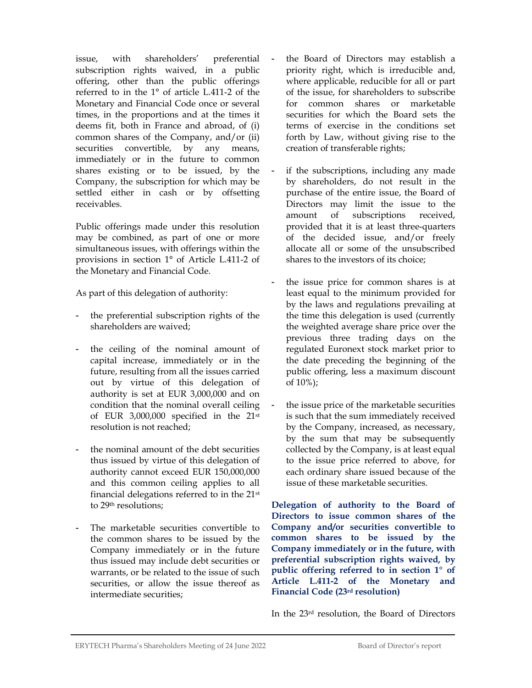issue, with shareholders' preferential subscription rights waived, in a public offering, other than the public offerings referred to in the 1° of article L.411-2 of the Monetary and Financial Code once or several times, in the proportions and at the times it deems fit, both in France and abroad, of (i) common shares of the Company, and/or (ii) securities convertible, by any means, immediately or in the future to common shares existing or to be issued, by the Company, the subscription for which may be settled either in cash or by offsetting receivables.

Public offerings made under this resolution may be combined, as part of one or more simultaneous issues, with offerings within the provisions in section 1° of Article L.411-2 of the Monetary and Financial Code.

As part of this delegation of authority:

- the preferential subscription rights of the shareholders are waived;
- the ceiling of the nominal amount of capital increase, immediately or in the future, resulting from all the issues carried out by virtue of this delegation of authority is set at EUR 3,000,000 and on condition that the nominal overall ceiling of EUR 3,000,000 specified in the 21st resolution is not reached;
- the nominal amount of the debt securities thus issued by virtue of this delegation of authority cannot exceed EUR 150,000,000 and this common ceiling applies to all financial delegations referred to in the 21st to 29th resolutions;
- The marketable securities convertible to the common shares to be issued by the Company immediately or in the future thus issued may include debt securities or warrants, or be related to the issue of such securities, or allow the issue thereof as intermediate securities;
- the Board of Directors may establish a priority right, which is irreducible and, where applicable, reducible for all or part of the issue, for shareholders to subscribe for common shares or marketable securities for which the Board sets the terms of exercise in the conditions set forth by Law, without giving rise to the creation of transferable rights;
- if the subscriptions, including any made by shareholders, do not result in the purchase of the entire issue, the Board of Directors may limit the issue to the amount of subscriptions received, provided that it is at least three-quarters of the decided issue, and/or freely allocate all or some of the unsubscribed shares to the investors of its choice;
- the issue price for common shares is at least equal to the minimum provided for by the laws and regulations prevailing at the time this delegation is used (currently the weighted average share price over the previous three trading days on the regulated Euronext stock market prior to the date preceding the beginning of the public offering, less a maximum discount of 10%);
- the issue price of the marketable securities is such that the sum immediately received by the Company, increased, as necessary, by the sum that may be subsequently collected by the Company, is at least equal to the issue price referred to above, for each ordinary share issued because of the issue of these marketable securities.

Delegation of authority to the Board of Directors to issue common shares of the Company and/or securities convertible to common shares to be issued by the Company immediately or in the future, with preferential subscription rights waived, by public offering referred to in section 1° of Article L.411-2 of the Monetary and Financial Code (23rd resolution)

In the 23rd resolution, the Board of Directors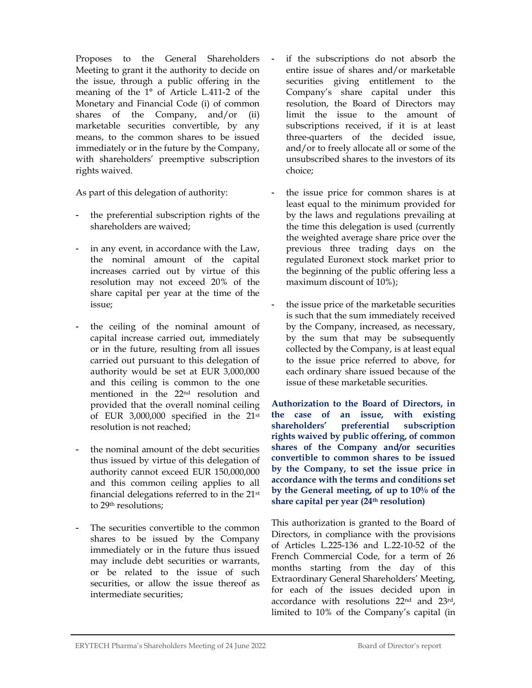Proposes to the General Shareholders Meeting to grant it the authority to decide on the issue, through a public offering in the meaning of the 1° of Article L.411-2 of the Monetary and Financial Code (i) of common shares of the Company, and/or (ii) marketable securities convertible, by any means, to the common shares to be issued immediately or in the future by the Company, with shareholders' preemptive subscription rights waived.

As part of this delegation of authority:

- the preferential subscription rights of the shareholders are waived;
- in any event, in accordance with the Law, the nominal amount of the capital increases carried out by virtue of this resolution may not exceed 20% of the share capital per year at the time of the issue;
- the ceiling of the nominal amount of capital increase carried out, immediately or in the future, resulting from all issues carried out pursuant to this delegation of authority would be set at EUR 3,000,000 and this ceiling is common to the one mentioned in the 22nd resolution and provided that the overall nominal ceiling of EUR 3,000,000 specified in the 21st resolution is not reached;
- the nominal amount of the debt securities thus issued by virtue of this delegation of authority cannot exceed EUR 150,000,000 and this common ceiling applies to all financial delegations referred to in the 21st to 29th resolutions;
- The securities convertible to the common shares to be issued by the Company immediately or in the future thus issued may include debt securities or warrants, or be related to the issue of such securities, or allow the issue thereof as intermediate securities;
- if the subscriptions do not absorb the entire issue of shares and/or marketable securities giving entitlement to the Company's share capital under this resolution, the Board of Directors may limit the issue to the amount of subscriptions received, if it is at least three-quarters of the decided issue, and/or to freely allocate all or some of the unsubscribed shares to the investors of its choice;
- the issue price for common shares is at least equal to the minimum provided for by the laws and regulations prevailing at the time this delegation is used (currently the weighted average share price over the previous three trading days on the regulated Euronext stock market prior to the beginning of the public offering less a maximum discount of 10%);
- the issue price of the marketable securities is such that the sum immediately received by the Company, increased, as necessary, by the sum that may be subsequently collected by the Company, is at least equal to the issue price referred to above, for each ordinary share issued because of the issue of these marketable securities.

Authorization to the Board of Directors, in the case of an issue, with existing shareholders' preferential subscription rights waived by public offering, of common shares of the Company and/or securities convertible to common shares to be issued by the Company, to set the issue price in accordance with the terms and conditions set by the General meeting, of up to 10% of the share capital per year (24<sup>th</sup> resolution)

This authorization is granted to the Board of Directors, in compliance with the provisions of Articles L.225-136 and L.22-10-52 of the French Commercial Code, for a term of 26 months starting from the day of this Extraordinary General Shareholders' Meeting, for each of the issues decided upon in accordance with resolutions 22nd and 23rd, limited to 10% of the Company's capital (in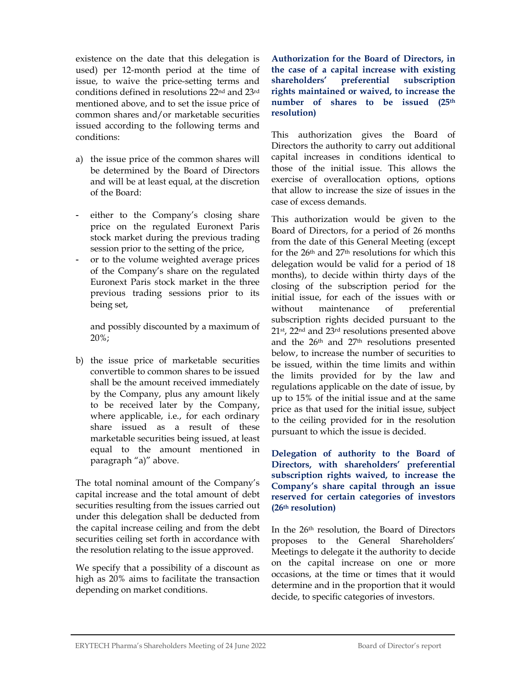existence on the date that this delegation is used) per 12-month period at the time of issue, to waive the price-setting terms and conditions defined in resolutions 22nd and 23rd mentioned above, and to set the issue price of common shares and/or marketable securities issued according to the following terms and conditions:

- a) the issue price of the common shares will be determined by the Board of Directors and will be at least equal, at the discretion of the Board:
- either to the Company's closing share price on the regulated Euronext Paris stock market during the previous trading session prior to the setting of the price,
- or to the volume weighted average prices of the Company's share on the regulated Euronext Paris stock market in the three previous trading sessions prior to its being set,

and possibly discounted by a maximum of 20%;

b) the issue price of marketable securities convertible to common shares to be issued shall be the amount received immediately by the Company, plus any amount likely to be received later by the Company, where applicable, i.e., for each ordinary share issued as a result of these marketable securities being issued, at least equal to the amount mentioned in paragraph "a)" above.

The total nominal amount of the Company's capital increase and the total amount of debt securities resulting from the issues carried out under this delegation shall be deducted from the capital increase ceiling and from the debt securities ceiling set forth in accordance with the resolution relating to the issue approved.

We specify that a possibility of a discount as high as 20% aims to facilitate the transaction depending on market conditions.

Authorization for the Board of Directors, in the case of a capital increase with existing shareholders' preferential subscription rights maintained or waived, to increase the number of shares to be issued (25<sup>th</sup>) resolution)

This authorization gives the Board of Directors the authority to carry out additional capital increases in conditions identical to those of the initial issue. This allows the exercise of overallocation options, options that allow to increase the size of issues in the case of excess demands.

This authorization would be given to the Board of Directors, for a period of 26 months from the date of this General Meeting (except for the 26th and 27th resolutions for which this delegation would be valid for a period of 18 months), to decide within thirty days of the closing of the subscription period for the initial issue, for each of the issues with or without maintenance of preferential subscription rights decided pursuant to the 21st, 22nd and 23rd resolutions presented above and the 26th and 27th resolutions presented below, to increase the number of securities to be issued, within the time limits and within the limits provided for by the law and regulations applicable on the date of issue, by up to 15% of the initial issue and at the same price as that used for the initial issue, subject to the ceiling provided for in the resolution pursuant to which the issue is decided.

### Delegation of authority to the Board of Directors, with shareholders' preferential subscription rights waived, to increase the Company's share capital through an issue reserved for certain categories of investors (26th resolution)

In the 26th resolution, the Board of Directors proposes to the General Shareholders' Meetings to delegate it the authority to decide on the capital increase on one or more occasions, at the time or times that it would determine and in the proportion that it would decide, to specific categories of investors.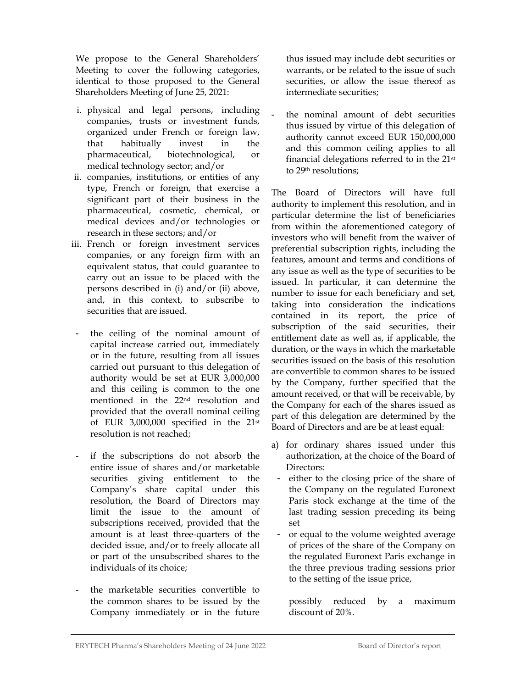We propose to the General Shareholders' Meeting to cover the following categories, identical to those proposed to the General Shareholders Meeting of June 25, 2021:

- i. physical and legal persons, including companies, trusts or investment funds, organized under French or foreign law, that habitually invest in the pharmaceutical, biotechnological, or medical technology sector; and/or
- ii. companies, institutions, or entities of any type, French or foreign, that exercise a significant part of their business in the pharmaceutical, cosmetic, chemical, or medical devices and/or technologies or research in these sectors; and/or
- iii. French or foreign investment services companies, or any foreign firm with an equivalent status, that could guarantee to carry out an issue to be placed with the persons described in (i) and/or (ii) above, and, in this context, to subscribe to securities that are issued.
- the ceiling of the nominal amount of capital increase carried out, immediately or in the future, resulting from all issues carried out pursuant to this delegation of authority would be set at EUR 3,000,000 and this ceiling is common to the one mentioned in the 22nd resolution and provided that the overall nominal ceiling of EUR 3,000,000 specified in the 21st resolution is not reached;
- if the subscriptions do not absorb the entire issue of shares and/or marketable securities giving entitlement to the Company's share capital under this resolution, the Board of Directors may limit the issue to the amount of subscriptions received, provided that the amount is at least three-quarters of the decided issue, and/or to freely allocate all or part of the unsubscribed shares to the individuals of its choice;
- the marketable securities convertible to the common shares to be issued by the Company immediately or in the future

thus issued may include debt securities or warrants, or be related to the issue of such securities, or allow the issue thereof as intermediate securities;

the nominal amount of debt securities thus issued by virtue of this delegation of authority cannot exceed EUR 150,000,000 and this common ceiling applies to all financial delegations referred to in the 21st to 29th resolutions;

The Board of Directors will have full authority to implement this resolution, and in particular determine the list of beneficiaries from within the aforementioned category of investors who will benefit from the waiver of preferential subscription rights, including the features, amount and terms and conditions of any issue as well as the type of securities to be issued. In particular, it can determine the number to issue for each beneficiary and set, taking into consideration the indications contained in its report, the price of subscription of the said securities, their entitlement date as well as, if applicable, the duration, or the ways in which the marketable securities issued on the basis of this resolution are convertible to common shares to be issued by the Company, further specified that the amount received, or that will be receivable, by the Company for each of the shares issued as part of this delegation are determined by the Board of Directors and are be at least equal:

- a) for ordinary shares issued under this authorization, at the choice of the Board of Directors:
- either to the closing price of the share of the Company on the regulated Euronext Paris stock exchange at the time of the last trading session preceding its being set
- or equal to the volume weighted average of prices of the share of the Company on the regulated Euronext Paris exchange in the three previous trading sessions prior to the setting of the issue price,

possibly reduced by a maximum discount of 20%.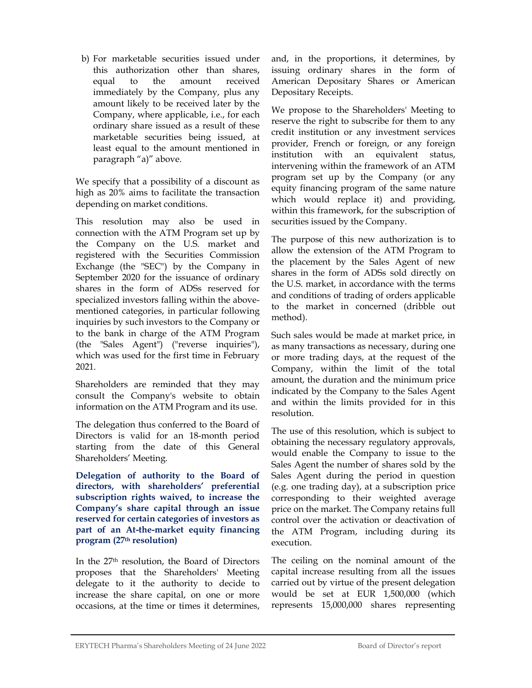b) For marketable securities issued under this authorization other than shares, equal to the amount received immediately by the Company, plus any amount likely to be received later by the Company, where applicable, i.e., for each ordinary share issued as a result of these marketable securities being issued, at least equal to the amount mentioned in paragraph "a)" above.

We specify that a possibility of a discount as high as 20% aims to facilitate the transaction depending on market conditions.

This resolution may also be used in connection with the ATM Program set up by the Company on the U.S. market and registered with the Securities Commission Exchange (the "SEC") by the Company in September 2020 for the issuance of ordinary shares in the form of ADSs reserved for specialized investors falling within the abovementioned categories, in particular following inquiries by such investors to the Company or to the bank in charge of the ATM Program (the "Sales Agent") ("reverse inquiries"), which was used for the first time in February 2021.

Shareholders are reminded that they may consult the Company's website to obtain information on the ATM Program and its use.

The delegation thus conferred to the Board of Directors is valid for an 18-month period starting from the date of this General Shareholders' Meeting.

Delegation of authority to the Board of directors, with shareholders' preferential subscription rights waived, to increase the Company's share capital through an issue reserved for certain categories of investors as part of an At-the-market equity financing program (27th resolution)

In the 27th resolution, the Board of Directors proposes that the Shareholders' Meeting delegate to it the authority to decide to increase the share capital, on one or more occasions, at the time or times it determines, and, in the proportions, it determines, by issuing ordinary shares in the form of American Depositary Shares or American Depositary Receipts.

We propose to the Shareholders' Meeting to reserve the right to subscribe for them to any credit institution or any investment services provider, French or foreign, or any foreign institution with an equivalent status, intervening within the framework of an ATM program set up by the Company (or any equity financing program of the same nature which would replace it) and providing, within this framework, for the subscription of securities issued by the Company.

The purpose of this new authorization is to allow the extension of the ATM Program to the placement by the Sales Agent of new shares in the form of ADSs sold directly on the U.S. market, in accordance with the terms and conditions of trading of orders applicable to the market in concerned (dribble out method).

Such sales would be made at market price, in as many transactions as necessary, during one or more trading days, at the request of the Company, within the limit of the total amount, the duration and the minimum price indicated by the Company to the Sales Agent and within the limits provided for in this resolution.

The use of this resolution, which is subject to obtaining the necessary regulatory approvals, would enable the Company to issue to the Sales Agent the number of shares sold by the Sales Agent during the period in question (e.g. one trading day), at a subscription price corresponding to their weighted average price on the market. The Company retains full control over the activation or deactivation of the ATM Program, including during its execution.

The ceiling on the nominal amount of the capital increase resulting from all the issues carried out by virtue of the present delegation would be set at EUR 1,500,000 (which represents 15,000,000 shares representing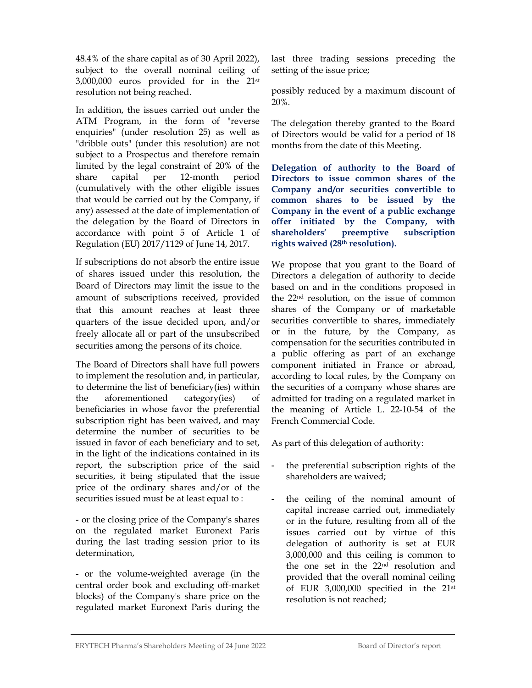48.4% of the share capital as of 30 April 2022), subject to the overall nominal ceiling of 3,000,000 euros provided for in the 21st resolution not being reached.

In addition, the issues carried out under the ATM Program, in the form of "reverse enquiries" (under resolution 25) as well as "dribble outs" (under this resolution) are not subject to a Prospectus and therefore remain limited by the legal constraint of 20% of the share capital per 12-month period (cumulatively with the other eligible issues that would be carried out by the Company, if any) assessed at the date of implementation of the delegation by the Board of Directors in accordance with point 5 of Article 1 of Regulation (EU) 2017/1129 of June 14, 2017.

If subscriptions do not absorb the entire issue of shares issued under this resolution, the Board of Directors may limit the issue to the amount of subscriptions received, provided that this amount reaches at least three quarters of the issue decided upon, and/or freely allocate all or part of the unsubscribed securities among the persons of its choice.

The Board of Directors shall have full powers to implement the resolution and, in particular, to determine the list of beneficiary(ies) within the aforementioned category(ies) of beneficiaries in whose favor the preferential subscription right has been waived, and may determine the number of securities to be issued in favor of each beneficiary and to set, in the light of the indications contained in its report, the subscription price of the said securities, it being stipulated that the issue price of the ordinary shares and/or of the securities issued must be at least equal to :

- or the closing price of the Company's shares on the regulated market Euronext Paris during the last trading session prior to its determination,

- or the volume-weighted average (in the central order book and excluding off-market blocks) of the Company's share price on the regulated market Euronext Paris during the last three trading sessions preceding the setting of the issue price;

possibly reduced by a maximum discount of 20%.

The delegation thereby granted to the Board of Directors would be valid for a period of 18 months from the date of this Meeting.

Delegation of authority to the Board of Directors to issue common shares of the Company and/or securities convertible to common shares to be issued by the Company in the event of a public exchange offer initiated by the Company, with shareholders' preemptive subscription rights waived (28th resolution).

We propose that you grant to the Board of Directors a delegation of authority to decide based on and in the conditions proposed in the 22nd resolution, on the issue of common shares of the Company or of marketable securities convertible to shares, immediately or in the future, by the Company, as compensation for the securities contributed in a public offering as part of an exchange component initiated in France or abroad, according to local rules, by the Company on the securities of a company whose shares are admitted for trading on a regulated market in the meaning of Article L. 22-10-54 of the French Commercial Code.

As part of this delegation of authority:

- the preferential subscription rights of the shareholders are waived;
- the ceiling of the nominal amount of capital increase carried out, immediately or in the future, resulting from all of the issues carried out by virtue of this delegation of authority is set at EUR 3,000,000 and this ceiling is common to the one set in the 22nd resolution and provided that the overall nominal ceiling of EUR 3,000,000 specified in the 21st resolution is not reached;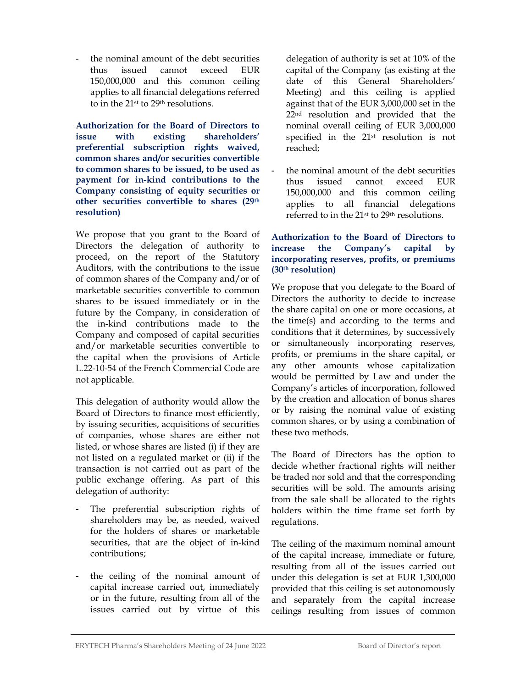the nominal amount of the debt securities thus issued cannot exceed EUR 150,000,000 and this common ceiling applies to all financial delegations referred to in the 21st to 29th resolutions.

Authorization for the Board of Directors to issue with existing shareholders' preferential subscription rights waived, common shares and/or securities convertible to common shares to be issued, to be used as payment for in-kind contributions to the Company consisting of equity securities or other securities convertible to shares (29th resolution)

We propose that you grant to the Board of Directors the delegation of authority to proceed, on the report of the Statutory Auditors, with the contributions to the issue of common shares of the Company and/or of marketable securities convertible to common shares to be issued immediately or in the future by the Company, in consideration of the in-kind contributions made to the Company and composed of capital securities and/or marketable securities convertible to the capital when the provisions of Article L.22-10-54 of the French Commercial Code are not applicable.

This delegation of authority would allow the Board of Directors to finance most efficiently, by issuing securities, acquisitions of securities of companies, whose shares are either not listed, or whose shares are listed (i) if they are not listed on a regulated market or (ii) if the transaction is not carried out as part of the public exchange offering. As part of this delegation of authority:

- The preferential subscription rights of shareholders may be, as needed, waived for the holders of shares or marketable securities, that are the object of in-kind contributions;
- the ceiling of the nominal amount of capital increase carried out, immediately or in the future, resulting from all of the issues carried out by virtue of this

delegation of authority is set at 10% of the capital of the Company (as existing at the date of this General Shareholders' Meeting) and this ceiling is applied against that of the EUR 3,000,000 set in the 22nd resolution and provided that the nominal overall ceiling of EUR 3,000,000 specified in the 21st resolution is not reached;

the nominal amount of the debt securities thus issued cannot exceed EUR 150,000,000 and this common ceiling applies to all financial delegations referred to in the 21st to 29th resolutions.

# Authorization to the Board of Directors to increase the Company's capital by incorporating reserves, profits, or premiums (30th resolution)

We propose that you delegate to the Board of Directors the authority to decide to increase the share capital on one or more occasions, at the time(s) and according to the terms and conditions that it determines, by successively or simultaneously incorporating reserves, profits, or premiums in the share capital, or any other amounts whose capitalization would be permitted by Law and under the Company's articles of incorporation, followed by the creation and allocation of bonus shares or by raising the nominal value of existing common shares, or by using a combination of these two methods.

The Board of Directors has the option to decide whether fractional rights will neither be traded nor sold and that the corresponding securities will be sold. The amounts arising from the sale shall be allocated to the rights holders within the time frame set forth by regulations.

The ceiling of the maximum nominal amount of the capital increase, immediate or future, resulting from all of the issues carried out under this delegation is set at EUR 1,300,000 provided that this ceiling is set autonomously and separately from the capital increase ceilings resulting from issues of common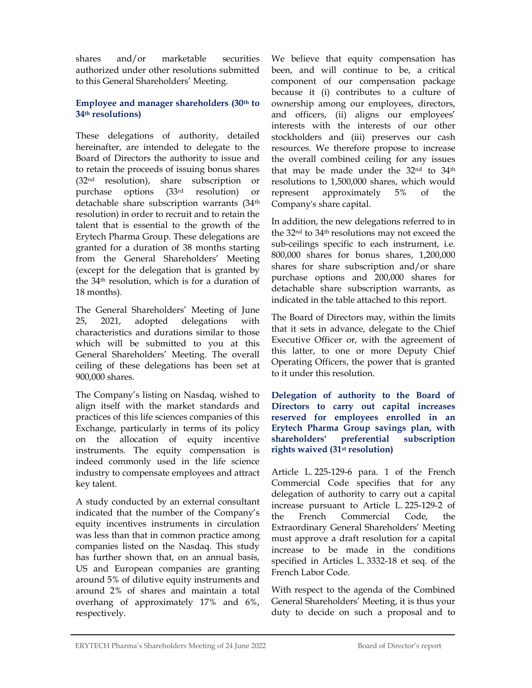shares and/or marketable securities authorized under other resolutions submitted to this General Shareholders' Meeting.

# Employee and manager shareholders (30th to 34th resolutions)

These delegations of authority, detailed hereinafter, are intended to delegate to the Board of Directors the authority to issue and to retain the proceeds of issuing bonus shares (32nd resolution), share subscription or purchase options (33rd resolution) or detachable share subscription warrants (34<sup>th</sup> resolution) in order to recruit and to retain the talent that is essential to the growth of the Erytech Pharma Group. These delegations are granted for a duration of 38 months starting from the General Shareholders' Meeting (except for the delegation that is granted by the 34th resolution, which is for a duration of 18 months).

The General Shareholders' Meeting of June 25, 2021, adopted delegations with characteristics and durations similar to those which will be submitted to you at this General Shareholders' Meeting. The overall ceiling of these delegations has been set at 900,000 shares.

The Company's listing on Nasdaq, wished to align itself with the market standards and practices of this life sciences companies of this Exchange, particularly in terms of its policy on the allocation of equity incentive instruments. The equity compensation is indeed commonly used in the life science industry to compensate employees and attract key talent.

A study conducted by an external consultant indicated that the number of the Company's equity incentives instruments in circulation was less than that in common practice among companies listed on the Nasdaq. This study has further shown that, on an annual basis, US and European companies are granting around 5% of dilutive equity instruments and around 2% of shares and maintain a total overhang of approximately 17% and 6%, respectively.

We believe that equity compensation has been, and will continue to be, a critical component of our compensation package because it (i) contributes to a culture of ownership among our employees, directors, and officers, (ii) aligns our employees' interests with the interests of our other stockholders and (iii) preserves our cash resources. We therefore propose to increase the overall combined ceiling for any issues that may be made under the 32nd to 34th resolutions to 1,500,000 shares, which would represent approximately 5% of the Company's share capital.

In addition, the new delegations referred to in the 32nd to 34th resolutions may not exceed the sub-ceilings specific to each instrument, i.e. 800,000 shares for bonus shares, 1,200,000 shares for share subscription and/or share purchase options and 200,000 shares for detachable share subscription warrants, as indicated in the table attached to this report.

The Board of Directors may, within the limits that it sets in advance, delegate to the Chief Executive Officer or, with the agreement of this latter, to one or more Deputy Chief Operating Officers, the power that is granted to it under this resolution.

Delegation of authority to the Board of Directors to carry out capital increases reserved for employees enrolled in an Erytech Pharma Group savings plan, with shareholders' preferential subscription rights waived (31st resolution)

Article L. 225-129-6 para. 1 of the French Commercial Code specifies that for any delegation of authority to carry out a capital increase pursuant to Article L. 225-129-2 of the French Commercial Code, the Extraordinary General Shareholders' Meeting must approve a draft resolution for a capital increase to be made in the conditions specified in Articles L. 3332-18 et seq. of the French Labor Code.

With respect to the agenda of the Combined General Shareholders' Meeting, it is thus your duty to decide on such a proposal and to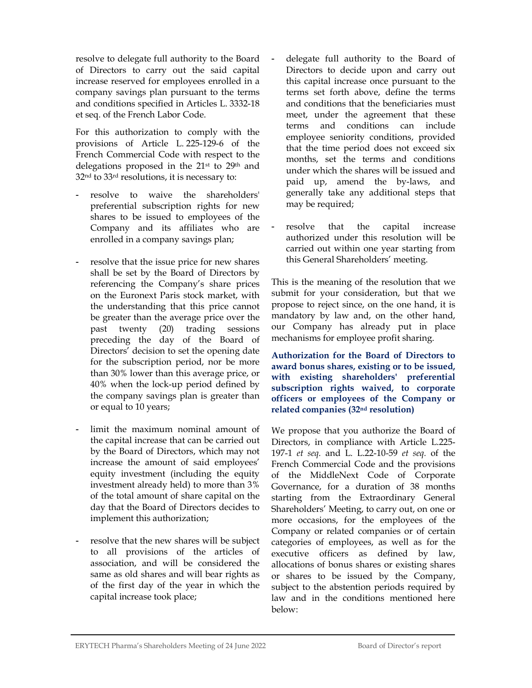resolve to delegate full authority to the Board of Directors to carry out the said capital increase reserved for employees enrolled in a company savings plan pursuant to the terms and conditions specified in Articles L. 3332-18 et seq. of the French Labor Code.

For this authorization to comply with the provisions of Article L. 225-129-6 of the French Commercial Code with respect to the delegations proposed in the 21st to 29th and 32nd to 33rd resolutions, it is necessary to:

- resolve to waive the shareholders' preferential subscription rights for new shares to be issued to employees of the Company and its affiliates who are enrolled in a company savings plan;
- resolve that the issue price for new shares shall be set by the Board of Directors by referencing the Company's share prices on the Euronext Paris stock market, with the understanding that this price cannot be greater than the average price over the past twenty (20) trading sessions preceding the day of the Board of Directors' decision to set the opening date for the subscription period, nor be more than 30% lower than this average price, or 40% when the lock-up period defined by the company savings plan is greater than or equal to 10 years;
- limit the maximum nominal amount of the capital increase that can be carried out by the Board of Directors, which may not increase the amount of said employees' equity investment (including the equity investment already held) to more than 3% of the total amount of share capital on the day that the Board of Directors decides to implement this authorization;
- resolve that the new shares will be subject to all provisions of the articles of association, and will be considered the same as old shares and will bear rights as of the first day of the year in which the capital increase took place;
- delegate full authority to the Board of Directors to decide upon and carry out this capital increase once pursuant to the terms set forth above, define the terms and conditions that the beneficiaries must meet, under the agreement that these terms and conditions can include employee seniority conditions, provided that the time period does not exceed six months, set the terms and conditions under which the shares will be issued and paid up, amend the by-laws, and generally take any additional steps that may be required;
- resolve that the capital increase authorized under this resolution will be carried out within one year starting from this General Shareholders' meeting.

This is the meaning of the resolution that we submit for your consideration, but that we propose to reject since, on the one hand, it is mandatory by law and, on the other hand, our Company has already put in place mechanisms for employee profit sharing.

Authorization for the Board of Directors to award bonus shares, existing or to be issued, with existing shareholders' preferential subscription rights waived, to corporate officers or employees of the Company or related companies (32nd resolution)

We propose that you authorize the Board of Directors, in compliance with Article L.225- 197-1 et seq. and L. L.22-10-59 et seq. of the French Commercial Code and the provisions of the MiddleNext Code of Corporate Governance, for a duration of 38 months starting from the Extraordinary General Shareholders' Meeting, to carry out, on one or more occasions, for the employees of the Company or related companies or of certain categories of employees, as well as for the executive officers as defined by law, allocations of bonus shares or existing shares or shares to be issued by the Company, subject to the abstention periods required by law and in the conditions mentioned here below: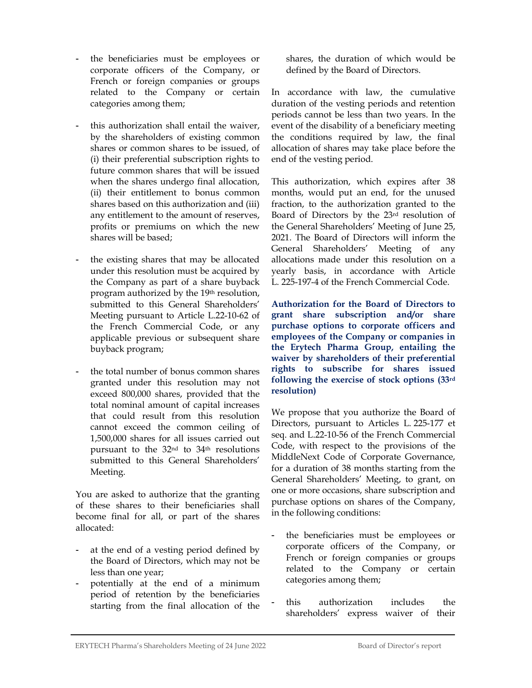- the beneficiaries must be employees or corporate officers of the Company, or French or foreign companies or groups related to the Company or certain categories among them;
- this authorization shall entail the waiver, by the shareholders of existing common shares or common shares to be issued, of (i) their preferential subscription rights to future common shares that will be issued when the shares undergo final allocation, (ii) their entitlement to bonus common shares based on this authorization and (iii) any entitlement to the amount of reserves, profits or premiums on which the new shares will be based;
- the existing shares that may be allocated under this resolution must be acquired by the Company as part of a share buyback program authorized by the 19<sup>th</sup> resolution, submitted to this General Shareholders' Meeting pursuant to Article L.22-10-62 of the French Commercial Code, or any applicable previous or subsequent share buyback program;
- the total number of bonus common shares granted under this resolution may not exceed 800,000 shares, provided that the total nominal amount of capital increases that could result from this resolution cannot exceed the common ceiling of 1,500,000 shares for all issues carried out pursuant to the 32nd to 34th resolutions submitted to this General Shareholders' Meeting.

You are asked to authorize that the granting of these shares to their beneficiaries shall become final for all, or part of the shares allocated:

- at the end of a vesting period defined by the Board of Directors, which may not be less than one year;
- potentially at the end of a minimum period of retention by the beneficiaries starting from the final allocation of the

shares, the duration of which would be defined by the Board of Directors.

In accordance with law, the cumulative duration of the vesting periods and retention periods cannot be less than two years. In the event of the disability of a beneficiary meeting the conditions required by law, the final allocation of shares may take place before the end of the vesting period.

This authorization, which expires after 38 months, would put an end, for the unused fraction, to the authorization granted to the Board of Directors by the 23rd resolution of the General Shareholders' Meeting of June 25, 2021. The Board of Directors will inform the General Shareholders' Meeting of any allocations made under this resolution on a yearly basis, in accordance with Article L. 225-197-4 of the French Commercial Code.

Authorization for the Board of Directors to grant share subscription and/or share purchase options to corporate officers and employees of the Company or companies in the Erytech Pharma Group, entailing the waiver by shareholders of their preferential rights to subscribe for shares issued following the exercise of stock options (33rd resolution)

We propose that you authorize the Board of Directors, pursuant to Articles L. 225-177 et seq. and L.22-10-56 of the French Commercial Code, with respect to the provisions of the MiddleNext Code of Corporate Governance, for a duration of 38 months starting from the General Shareholders' Meeting, to grant, on one or more occasions, share subscription and purchase options on shares of the Company, in the following conditions:

- the beneficiaries must be employees or corporate officers of the Company, or French or foreign companies or groups related to the Company or certain categories among them;
- this authorization includes the shareholders' express waiver of their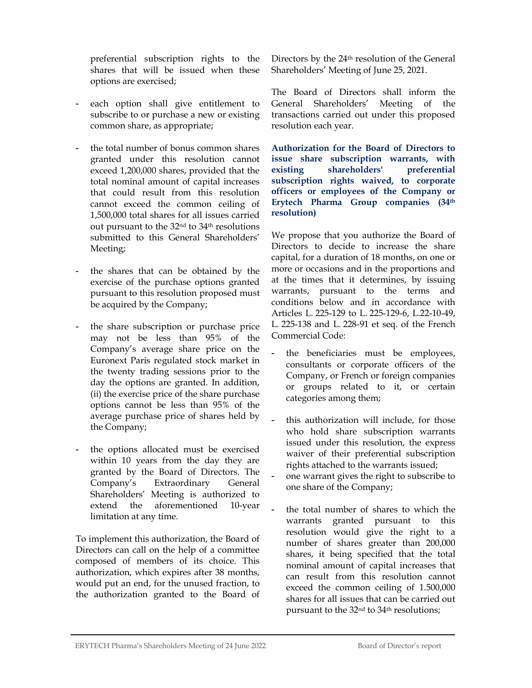preferential subscription rights to the shares that will be issued when these options are exercised;

- each option shall give entitlement to subscribe to or purchase a new or existing common share, as appropriate;
- the total number of bonus common shares granted under this resolution cannot exceed 1,200,000 shares, provided that the total nominal amount of capital increases that could result from this resolution cannot exceed the common ceiling of 1,500,000 total shares for all issues carried out pursuant to the 32nd to 34th resolutions submitted to this General Shareholders' Meeting;
- the shares that can be obtained by the exercise of the purchase options granted pursuant to this resolution proposed must be acquired by the Company;
- the share subscription or purchase price may not be less than 95% of the Company's average share price on the Euronext Paris regulated stock market in the twenty trading sessions prior to the day the options are granted. In addition, (ii) the exercise price of the share purchase options cannot be less than 95% of the average purchase price of shares held by the Company;
- the options allocated must be exercised within 10 years from the day they are granted by the Board of Directors. The Company's Extraordinary General Shareholders' Meeting is authorized to extend the aforementioned 10-year limitation at any time.

To implement this authorization, the Board of Directors can call on the help of a committee composed of members of its choice. This authorization, which expires after 38 months, would put an end, for the unused fraction, to the authorization granted to the Board of Directors by the 24<sup>th</sup> resolution of the General Shareholders' Meeting of June 25, 2021.

The Board of Directors shall inform the General Shareholders' Meeting of the transactions carried out under this proposed resolution each year.

Authorization for the Board of Directors to issue share subscription warrants, with existing shareholders' preferential subscription rights waived, to corporate officers or employees of the Company or Erytech Pharma Group companies (34th resolution)

We propose that you authorize the Board of Directors to decide to increase the share capital, for a duration of 18 months, on one or more or occasions and in the proportions and at the times that it determines, by issuing warrants, pursuant to the terms and conditions below and in accordance with Articles L. 225-129 to L. 225-129-6, L.22-10-49, L. 225-138 and L. 228-91 et seq. of the French Commercial Code:

- the beneficiaries must be employees, consultants or corporate officers of the Company, or French or foreign companies or groups related to it, or certain categories among them;
- this authorization will include, for those who hold share subscription warrants issued under this resolution, the express waiver of their preferential subscription rights attached to the warrants issued;
- one warrant gives the right to subscribe to one share of the Company;
- the total number of shares to which the warrants granted pursuant to this resolution would give the right to a number of shares greater than 200,000 shares, it being specified that the total nominal amount of capital increases that can result from this resolution cannot exceed the common ceiling of 1.500,000 shares for all issues that can be carried out pursuant to the 32nd to 34th resolutions;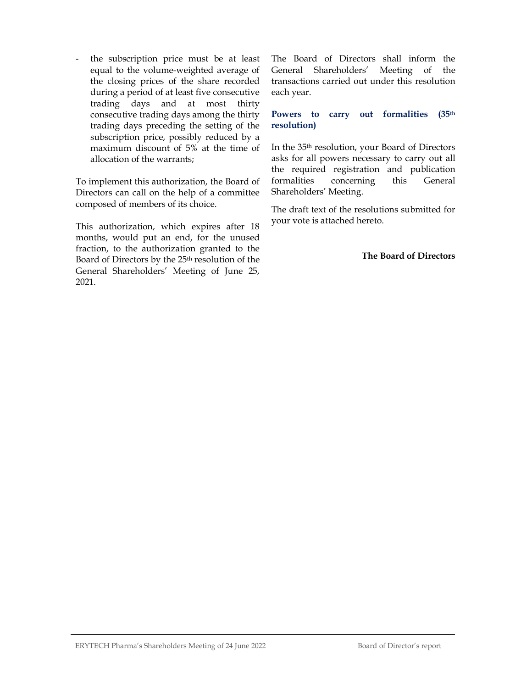the subscription price must be at least equal to the volume-weighted average of the closing prices of the share recorded during a period of at least five consecutive trading days and at most thirty consecutive trading days among the thirty trading days preceding the setting of the subscription price, possibly reduced by a maximum discount of 5% at the time of allocation of the warrants;

To implement this authorization, the Board of Directors can call on the help of a committee composed of members of its choice.

This authorization, which expires after 18 months, would put an end, for the unused fraction, to the authorization granted to the Board of Directors by the 25th resolution of the General Shareholders' Meeting of June 25, 2021.

The Board of Directors shall inform the General Shareholders' Meeting of the transactions carried out under this resolution each year.

## Powers to carry out formalities (35th resolution)

In the 35th resolution, your Board of Directors asks for all powers necessary to carry out all the required registration and publication formalities concerning this General Shareholders' Meeting.

The draft text of the resolutions submitted for your vote is attached hereto.

The Board of Directors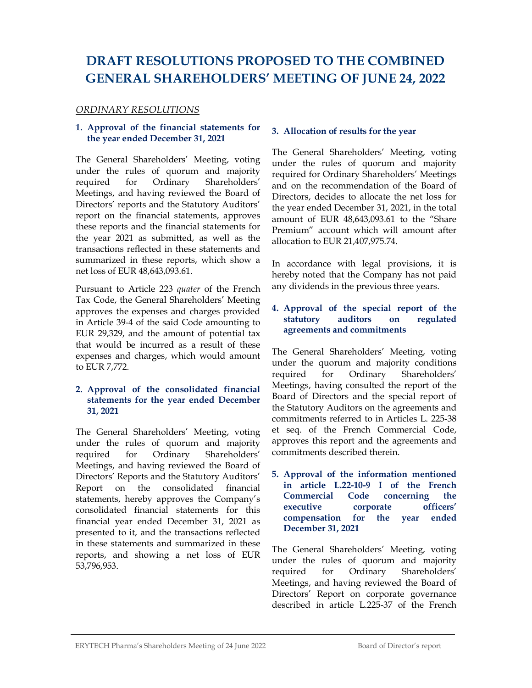# DRAFT RESOLUTIONS PROPOSED TO THE COMBINED GENERAL SHAREHOLDERS' MEETING OF JUNE 24, 2022

# ORDINARY RESOLUTIONS

#### 1. Approval of the financial statements for the year ended December 31, 2021

The General Shareholders' Meeting, voting under the rules of quorum and majority required for Ordinary Shareholders' Meetings, and having reviewed the Board of Directors' reports and the Statutory Auditors' report on the financial statements, approves these reports and the financial statements for the year 2021 as submitted, as well as the transactions reflected in these statements and summarized in these reports, which show a net loss of EUR 48,643,093.61.

Pursuant to Article 223 quater of the French Tax Code, the General Shareholders' Meeting approves the expenses and charges provided in Article 39-4 of the said Code amounting to EUR 29,329, and the amount of potential tax that would be incurred as a result of these expenses and charges, which would amount to EUR 7,772.

#### 2. Approval of the consolidated financial statements for the year ended December 31, 2021

The General Shareholders' Meeting, voting under the rules of quorum and majority required for Ordinary Shareholders' Meetings, and having reviewed the Board of Directors' Reports and the Statutory Auditors' Report on the consolidated financial statements, hereby approves the Company's consolidated financial statements for this financial year ended December 31, 2021 as presented to it, and the transactions reflected in these statements and summarized in these reports, and showing a net loss of EUR 53,796,953.

#### 3. Allocation of results for the year

The General Shareholders' Meeting, voting under the rules of quorum and majority required for Ordinary Shareholders' Meetings and on the recommendation of the Board of Directors, decides to allocate the net loss for the year ended December 31, 2021, in the total amount of EUR 48,643,093.61 to the "Share Premium" account which will amount after allocation to EUR 21,407,975.74.

In accordance with legal provisions, it is hereby noted that the Company has not paid any dividends in the previous three years.

## 4. Approval of the special report of the statutory auditors on regulated agreements and commitments

The General Shareholders' Meeting, voting under the quorum and majority conditions required for Ordinary Shareholders' Meetings, having consulted the report of the Board of Directors and the special report of the Statutory Auditors on the agreements and commitments referred to in Articles L. 225-38 et seq. of the French Commercial Code, approves this report and the agreements and commitments described therein.

5. Approval of the information mentioned in article L.22-10-9 I of the French Commercial Code concerning the executive corporate officers' compensation for the year ended December 31, 2021

The General Shareholders' Meeting, voting under the rules of quorum and majority required for Ordinary Shareholders' Meetings, and having reviewed the Board of Directors' Report on corporate governance described in article L.225-37 of the French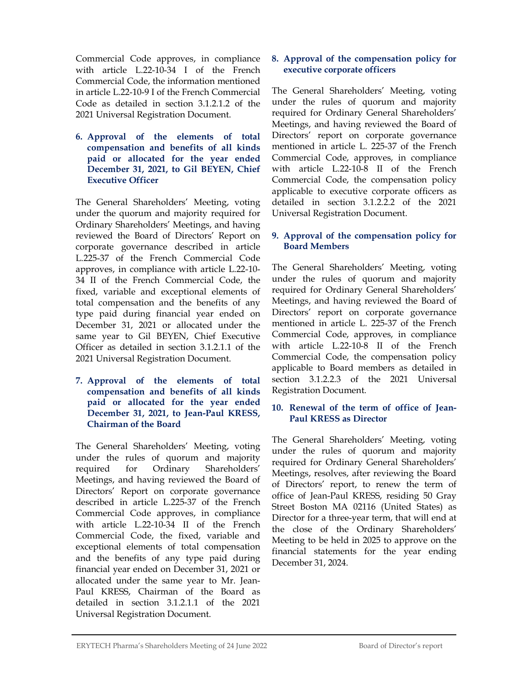Commercial Code approves, in compliance with article L.22-10-34 I of the French Commercial Code, the information mentioned in article L.22-10-9 I of the French Commercial Code as detailed in section 3.1.2.1.2 of the 2021 Universal Registration Document.

6. Approval of the elements of total compensation and benefits of all kinds paid or allocated for the year ended December 31, 2021, to Gil BEYEN, Chief Executive Officer

The General Shareholders' Meeting, voting under the quorum and majority required for Ordinary Shareholders' Meetings, and having reviewed the Board of Directors' Report on corporate governance described in article L.225-37 of the French Commercial Code approves, in compliance with article L.22-10- 34 II of the French Commercial Code, the fixed, variable and exceptional elements of total compensation and the benefits of any type paid during financial year ended on December 31, 2021 or allocated under the same year to Gil BEYEN, Chief Executive Officer as detailed in section 3.1.2.1.1 of the 2021 Universal Registration Document.

7. Approval of the elements of total compensation and benefits of all kinds paid or allocated for the year ended December 31, 2021, to Jean-Paul KRESS, Chairman of the Board

The General Shareholders' Meeting, voting under the rules of quorum and majority required for Ordinary Shareholders' Meetings, and having reviewed the Board of Directors' Report on corporate governance described in article L.225-37 of the French Commercial Code approves, in compliance with article L.22-10-34 II of the French Commercial Code, the fixed, variable and exceptional elements of total compensation and the benefits of any type paid during financial year ended on December 31, 2021 or allocated under the same year to Mr. Jean-Paul KRESS, Chairman of the Board as detailed in section 3.1.2.1.1 of the 2021 Universal Registration Document.

# 8. Approval of the compensation policy for executive corporate officers

The General Shareholders' Meeting, voting under the rules of quorum and majority required for Ordinary General Shareholders' Meetings, and having reviewed the Board of Directors' report on corporate governance mentioned in article L. 225-37 of the French Commercial Code, approves, in compliance with article L.22-10-8 II of the French Commercial Code, the compensation policy applicable to executive corporate officers as detailed in section 3.1.2.2.2 of the 2021 Universal Registration Document.

# 9. Approval of the compensation policy for Board Members

The General Shareholders' Meeting, voting under the rules of quorum and majority required for Ordinary General Shareholders' Meetings, and having reviewed the Board of Directors' report on corporate governance mentioned in article L. 225-37 of the French Commercial Code, approves, in compliance with article L.22-10-8 II of the French Commercial Code, the compensation policy applicable to Board members as detailed in section 3.1.2.2.3 of the 2021 Universal Registration Document.

# 10. Renewal of the term of office of Jean-Paul KRESS as Director

The General Shareholders' Meeting, voting under the rules of quorum and majority required for Ordinary General Shareholders' Meetings, resolves, after reviewing the Board of Directors' report, to renew the term of office of Jean-Paul KRESS, residing 50 Gray Street Boston MA 02116 (United States) as Director for a three-year term, that will end at the close of the Ordinary Shareholders' Meeting to be held in 2025 to approve on the financial statements for the year ending December 31, 2024.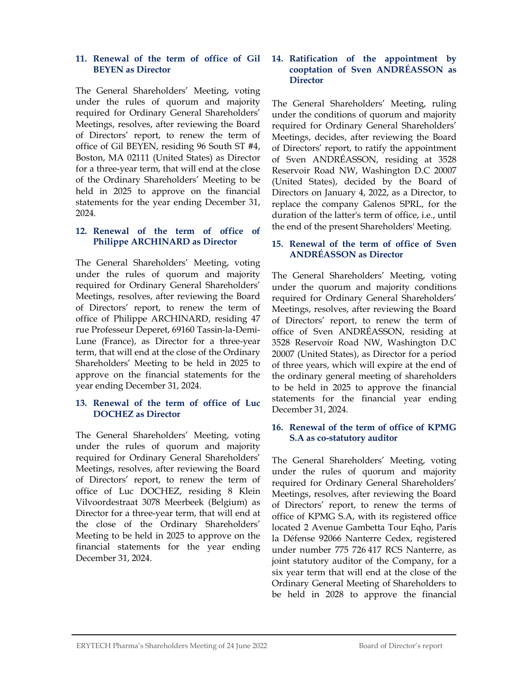## 11. Renewal of the term of office of Gil BEYEN as Director

The General Shareholders' Meeting, voting under the rules of quorum and majority required for Ordinary General Shareholders' Meetings, resolves, after reviewing the Board of Directors' report, to renew the term of office of Gil BEYEN, residing 96 South ST #4, Boston, MA 02111 (United States) as Director for a three-year term, that will end at the close of the Ordinary Shareholders' Meeting to be held in 2025 to approve on the financial statements for the year ending December 31, 2024.

# 12. Renewal of the term of office of Philippe ARCHINARD as Director

The General Shareholders' Meeting, voting under the rules of quorum and majority required for Ordinary General Shareholders' Meetings, resolves, after reviewing the Board of Directors' report, to renew the term of office of Philippe ARCHINARD, residing 47 rue Professeur Deperet, 69160 Tassin-la-Demi-Lune (France), as Director for a three-year term, that will end at the close of the Ordinary Shareholders' Meeting to be held in 2025 to approve on the financial statements for the year ending December 31, 2024.

#### 13. Renewal of the term of office of Luc DOCHEZ as Director

The General Shareholders' Meeting, voting under the rules of quorum and majority required for Ordinary General Shareholders' Meetings, resolves, after reviewing the Board of Directors' report, to renew the term of office of Luc DOCHEZ, residing 8 Klein Vilvoordestraat 3078 Meerbeek (Belgium) as Director for a three-year term, that will end at the close of the Ordinary Shareholders' Meeting to be held in 2025 to approve on the financial statements for the year ending December 31, 2024.

#### 14. Ratification of the appointment by cooptation of Sven ANDRÉASSON as **Director**

The General Shareholders' Meeting, ruling under the conditions of quorum and majority required for Ordinary General Shareholders' Meetings, decides, after reviewing the Board of Directors' report, to ratify the appointment of Sven ANDRÉASSON, residing at 3528 Reservoir Road NW, Washington D.C 20007 (United States), decided by the Board of Directors on January 4, 2022, as a Director, to replace the company Galenos SPRL, for the duration of the latter's term of office, i.e., until the end of the present Shareholders' Meeting.

## 15. Renewal of the term of office of Sven ANDRÉASSON as Director

The General Shareholders' Meeting, voting under the quorum and majority conditions required for Ordinary General Shareholders' Meetings, resolves, after reviewing the Board of Directors' report, to renew the term of office of Sven ANDRÉASSON, residing at 3528 Reservoir Road NW, Washington D.C 20007 (United States), as Director for a period of three years, which will expire at the end of the ordinary general meeting of shareholders to be held in 2025 to approve the financial statements for the financial year ending December 31, 2024.

# 16. Renewal of the term of office of KPMG S.A as co-statutory auditor

The General Shareholders' Meeting, voting under the rules of quorum and majority required for Ordinary General Shareholders' Meetings, resolves, after reviewing the Board of Directors' report, to renew the terms of office of KPMG S.A, with its registered office located 2 Avenue Gambetta Tour Eqho, Paris la Défense 92066 Nanterre Cedex, registered under number 775 726 417 RCS Nanterre, as joint statutory auditor of the Company, for a six year term that will end at the close of the Ordinary General Meeting of Shareholders to be held in 2028 to approve the financial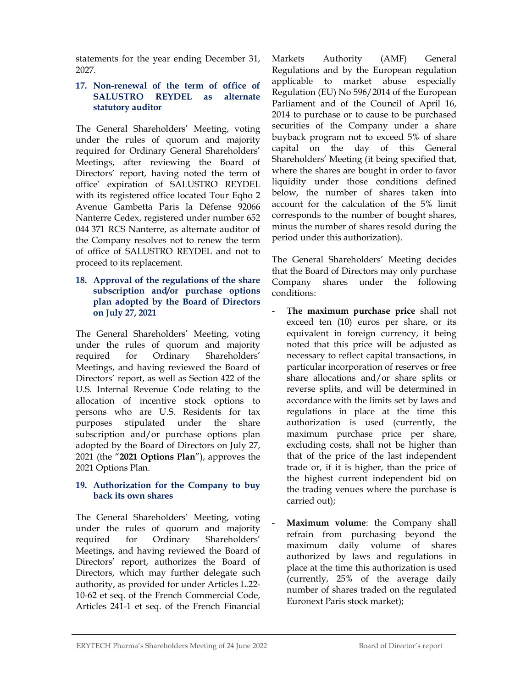statements for the year ending December 31, 2027.

#### 17. Non-renewal of the term of office of SALUSTRO REYDEL as alternate statutory auditor

The General Shareholders' Meeting, voting under the rules of quorum and majority required for Ordinary General Shareholders' Meetings, after reviewing the Board of Directors' report, having noted the term of office' expiration of SALUSTRO REYDEL with its registered office located Tour Eqho 2 Avenue Gambetta Paris la Défense 92066 Nanterre Cedex, registered under number 652 044 371 RCS Nanterre, as alternate auditor of the Company resolves not to renew the term of office of SALUSTRO REYDEL and not to proceed to its replacement.

#### 18. Approval of the regulations of the share subscription and/or purchase options plan adopted by the Board of Directors on July 27, 2021

The General Shareholders' Meeting, voting under the rules of quorum and majority required for Ordinary Shareholders' Meetings, and having reviewed the Board of Directors' report, as well as Section 422 of the U.S. Internal Revenue Code relating to the allocation of incentive stock options to persons who are U.S. Residents for tax purposes stipulated under the share subscription and/or purchase options plan adopted by the Board of Directors on July 27, 2021 (the "2021 Options Plan"), approves the 2021 Options Plan.

# 19. Authorization for the Company to buy back its own shares

The General Shareholders' Meeting, voting under the rules of quorum and majority required for Ordinary Shareholders' Meetings, and having reviewed the Board of Directors' report, authorizes the Board of Directors, which may further delegate such authority, as provided for under Articles L.22- 10-62 et seq. of the French Commercial Code, Articles 241-1 et seq. of the French Financial Markets Authority (AMF) General Regulations and by the European regulation applicable to market abuse especially Regulation (EU) No 596/2014 of the European Parliament and of the Council of April 16, 2014 to purchase or to cause to be purchased securities of the Company under a share buyback program not to exceed 5% of share capital on the day of this General Shareholders' Meeting (it being specified that, where the shares are bought in order to favor liquidity under those conditions defined below, the number of shares taken into account for the calculation of the 5% limit corresponds to the number of bought shares, minus the number of shares resold during the period under this authorization).

The General Shareholders' Meeting decides that the Board of Directors may only purchase Company shares under the following conditions:

- The maximum purchase price shall not exceed ten (10) euros per share, or its equivalent in foreign currency, it being noted that this price will be adjusted as necessary to reflect capital transactions, in particular incorporation of reserves or free share allocations and/or share splits or reverse splits, and will be determined in accordance with the limits set by laws and regulations in place at the time this authorization is used (currently, the maximum purchase price per share, excluding costs, shall not be higher than that of the price of the last independent trade or, if it is higher, than the price of the highest current independent bid on the trading venues where the purchase is carried out);
- Maximum volume: the Company shall refrain from purchasing beyond the maximum daily volume of shares authorized by laws and regulations in place at the time this authorization is used (currently, 25% of the average daily number of shares traded on the regulated Euronext Paris stock market);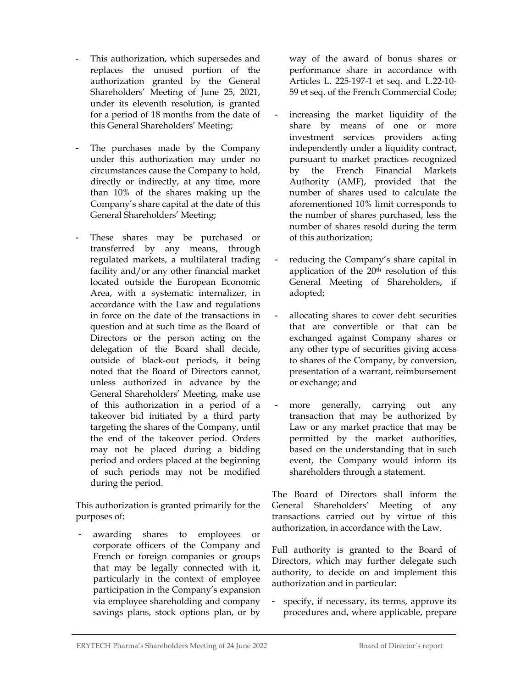- This authorization, which supersedes and replaces the unused portion of the authorization granted by the General Shareholders' Meeting of June 25, 2021, under its eleventh resolution, is granted for a period of 18 months from the date of this General Shareholders' Meeting;
- The purchases made by the Company under this authorization may under no circumstances cause the Company to hold, directly or indirectly, at any time, more than 10% of the shares making up the Company's share capital at the date of this General Shareholders' Meeting;
- These shares may be purchased or transferred by any means, through regulated markets, a multilateral trading facility and/or any other financial market located outside the European Economic Area, with a systematic internalizer, in accordance with the Law and regulations in force on the date of the transactions in question and at such time as the Board of Directors or the person acting on the delegation of the Board shall decide, outside of black-out periods, it being noted that the Board of Directors cannot, unless authorized in advance by the General Shareholders' Meeting, make use of this authorization in a period of a takeover bid initiated by a third party targeting the shares of the Company, until the end of the takeover period. Orders may not be placed during a bidding period and orders placed at the beginning of such periods may not be modified during the period.

This authorization is granted primarily for the purposes of:

awarding shares to employees or corporate officers of the Company and French or foreign companies or groups that may be legally connected with it, particularly in the context of employee participation in the Company's expansion via employee shareholding and company savings plans, stock options plan, or by

way of the award of bonus shares or performance share in accordance with Articles L. 225-197-1 et seq. and L.22-10- 59 et seq. of the French Commercial Code;

- increasing the market liquidity of the share by means of one or more investment services providers acting independently under a liquidity contract, pursuant to market practices recognized by the French Financial Markets Authority (AMF), provided that the number of shares used to calculate the aforementioned 10% limit corresponds to the number of shares purchased, less the number of shares resold during the term of this authorization;
- reducing the Company's share capital in application of the 20th resolution of this General Meeting of Shareholders, if adopted;
- allocating shares to cover debt securities that are convertible or that can be exchanged against Company shares or any other type of securities giving access to shares of the Company, by conversion, presentation of a warrant, reimbursement or exchange; and
- more generally, carrying out any transaction that may be authorized by Law or any market practice that may be permitted by the market authorities, based on the understanding that in such event, the Company would inform its shareholders through a statement.

The Board of Directors shall inform the General Shareholders' Meeting of any transactions carried out by virtue of this authorization, in accordance with the Law.

Full authority is granted to the Board of Directors, which may further delegate such authority, to decide on and implement this authorization and in particular:

- specify, if necessary, its terms, approve its procedures and, where applicable, prepare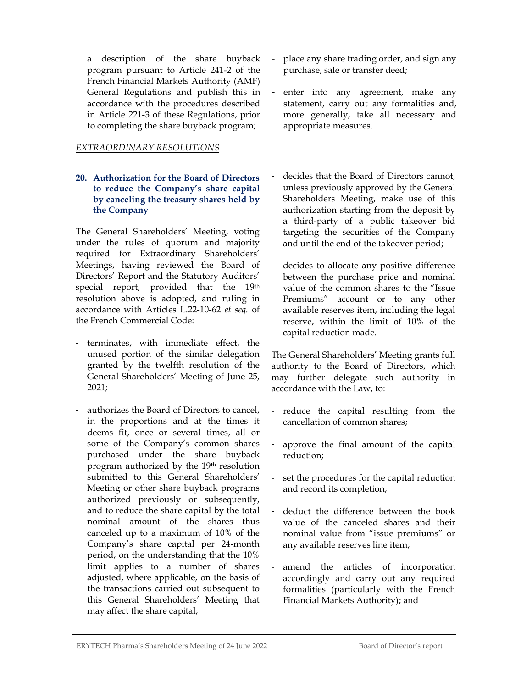a description of the share buyback program pursuant to Article 241-2 of the French Financial Markets Authority (AMF) General Regulations and publish this in accordance with the procedures described in Article 221-3 of these Regulations, prior to completing the share buyback program;

# EXTRAORDINARY RESOLUTIONS

### 20. Authorization for the Board of Directors to reduce the Company's share capital by canceling the treasury shares held by the Company

The General Shareholders' Meeting, voting under the rules of quorum and majority required for Extraordinary Shareholders' Meetings, having reviewed the Board of Directors' Report and the Statutory Auditors' special report, provided that the 19th resolution above is adopted, and ruling in accordance with Articles L.22-10-62 et seq. of the French Commercial Code:

- terminates, with immediate effect, the unused portion of the similar delegation granted by the twelfth resolution of the General Shareholders' Meeting of June 25, 2021;
- authorizes the Board of Directors to cancel, in the proportions and at the times it deems fit, once or several times, all or some of the Company's common shares purchased under the share buyback program authorized by the 19th resolution submitted to this General Shareholders' Meeting or other share buyback programs authorized previously or subsequently, and to reduce the share capital by the total nominal amount of the shares thus canceled up to a maximum of 10% of the Company's share capital per 24-month period, on the understanding that the 10% limit applies to a number of shares adjusted, where applicable, on the basis of the transactions carried out subsequent to this General Shareholders' Meeting that may affect the share capital;
- place any share trading order, and sign any purchase, sale or transfer deed;
- enter into any agreement, make any statement, carry out any formalities and, more generally, take all necessary and appropriate measures.
- decides that the Board of Directors cannot, unless previously approved by the General Shareholders Meeting, make use of this authorization starting from the deposit by a third-party of a public takeover bid targeting the securities of the Company and until the end of the takeover period;
- decides to allocate any positive difference between the purchase price and nominal value of the common shares to the "Issue Premiums" account or to any other available reserves item, including the legal reserve, within the limit of 10% of the capital reduction made.

The General Shareholders' Meeting grants full authority to the Board of Directors, which may further delegate such authority in accordance with the Law, to:

- reduce the capital resulting from the cancellation of common shares;
- approve the final amount of the capital reduction;
- set the procedures for the capital reduction and record its completion;
- deduct the difference between the book value of the canceled shares and their nominal value from "issue premiums" or any available reserves line item;
- amend the articles of incorporation accordingly and carry out any required formalities (particularly with the French Financial Markets Authority); and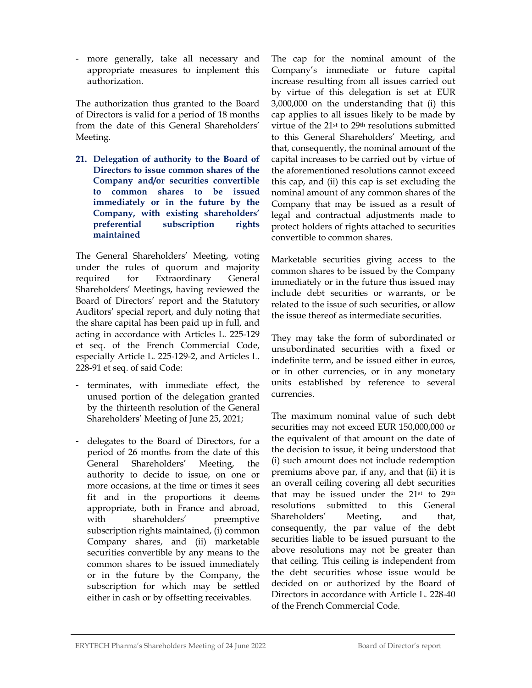- more generally, take all necessary and appropriate measures to implement this authorization.

The authorization thus granted to the Board of Directors is valid for a period of 18 months from the date of this General Shareholders' Meeting.

21. Delegation of authority to the Board of Directors to issue common shares of the Company and/or securities convertible to common shares to be issued immediately or in the future by the Company, with existing shareholders' preferential subscription rights maintained

The General Shareholders' Meeting, voting under the rules of quorum and majority required for Extraordinary General Shareholders' Meetings, having reviewed the Board of Directors' report and the Statutory Auditors' special report, and duly noting that the share capital has been paid up in full, and acting in accordance with Articles L. 225-129 et seq. of the French Commercial Code, especially Article L. 225-129-2, and Articles L. 228-91 et seq. of said Code:

- terminates, with immediate effect, the unused portion of the delegation granted by the thirteenth resolution of the General Shareholders' Meeting of June 25, 2021;
- delegates to the Board of Directors, for a period of 26 months from the date of this General Shareholders' Meeting, the authority to decide to issue, on one or more occasions, at the time or times it sees fit and in the proportions it deems appropriate, both in France and abroad, with shareholders' preemptive subscription rights maintained, (i) common Company shares, and (ii) marketable securities convertible by any means to the common shares to be issued immediately or in the future by the Company, the subscription for which may be settled either in cash or by offsetting receivables.

The cap for the nominal amount of the Company's immediate or future capital increase resulting from all issues carried out by virtue of this delegation is set at EUR 3,000,000 on the understanding that (i) this cap applies to all issues likely to be made by virtue of the 21st to 29th resolutions submitted to this General Shareholders' Meeting, and that, consequently, the nominal amount of the capital increases to be carried out by virtue of the aforementioned resolutions cannot exceed this cap, and (ii) this cap is set excluding the nominal amount of any common shares of the Company that may be issued as a result of legal and contractual adjustments made to protect holders of rights attached to securities convertible to common shares.

Marketable securities giving access to the common shares to be issued by the Company immediately or in the future thus issued may include debt securities or warrants, or be related to the issue of such securities, or allow the issue thereof as intermediate securities.

They may take the form of subordinated or unsubordinated securities with a fixed or indefinite term, and be issued either in euros, or in other currencies, or in any monetary units established by reference to several currencies.

The maximum nominal value of such debt securities may not exceed EUR 150,000,000 or the equivalent of that amount on the date of the decision to issue, it being understood that (i) such amount does not include redemption premiums above par, if any, and that (ii) it is an overall ceiling covering all debt securities that may be issued under the 21st to 29th resolutions submitted to this General Shareholders' Meeting, and that, consequently, the par value of the debt securities liable to be issued pursuant to the above resolutions may not be greater than that ceiling. This ceiling is independent from the debt securities whose issue would be decided on or authorized by the Board of Directors in accordance with Article L. 228-40 of the French Commercial Code.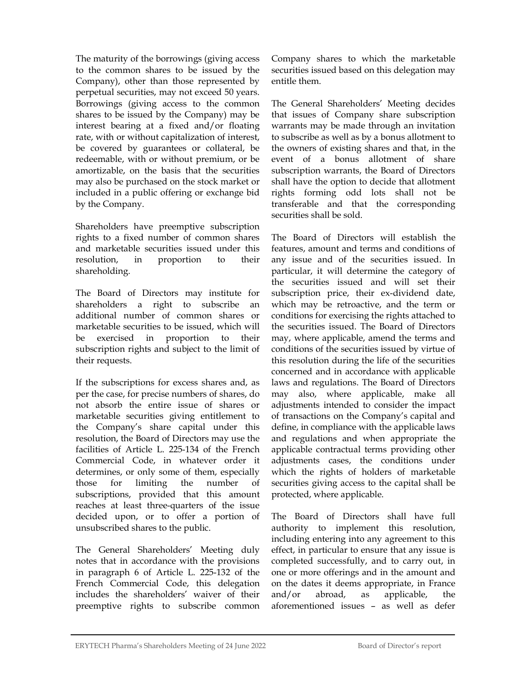The maturity of the borrowings (giving access to the common shares to be issued by the Company), other than those represented by perpetual securities, may not exceed 50 years. Borrowings (giving access to the common shares to be issued by the Company) may be interest bearing at a fixed and/or floating rate, with or without capitalization of interest, be covered by guarantees or collateral, be redeemable, with or without premium, or be amortizable, on the basis that the securities may also be purchased on the stock market or included in a public offering or exchange bid by the Company.

Shareholders have preemptive subscription rights to a fixed number of common shares and marketable securities issued under this resolution, in proportion to their shareholding.

The Board of Directors may institute for shareholders a right to subscribe an additional number of common shares or marketable securities to be issued, which will be exercised in proportion to their subscription rights and subject to the limit of their requests.

If the subscriptions for excess shares and, as per the case, for precise numbers of shares, do not absorb the entire issue of shares or marketable securities giving entitlement to the Company's share capital under this resolution, the Board of Directors may use the facilities of Article L. 225-134 of the French Commercial Code, in whatever order it determines, or only some of them, especially those for limiting the number of subscriptions, provided that this amount reaches at least three-quarters of the issue decided upon, or to offer a portion of unsubscribed shares to the public.

The General Shareholders' Meeting duly notes that in accordance with the provisions in paragraph 6 of Article L. 225-132 of the French Commercial Code, this delegation includes the shareholders' waiver of their preemptive rights to subscribe common Company shares to which the marketable securities issued based on this delegation may entitle them.

The General Shareholders' Meeting decides that issues of Company share subscription warrants may be made through an invitation to subscribe as well as by a bonus allotment to the owners of existing shares and that, in the event of a bonus allotment of share subscription warrants, the Board of Directors shall have the option to decide that allotment rights forming odd lots shall not be transferable and that the corresponding securities shall be sold.

The Board of Directors will establish the features, amount and terms and conditions of any issue and of the securities issued. In particular, it will determine the category of the securities issued and will set their subscription price, their ex-dividend date, which may be retroactive, and the term or conditions for exercising the rights attached to the securities issued. The Board of Directors may, where applicable, amend the terms and conditions of the securities issued by virtue of this resolution during the life of the securities concerned and in accordance with applicable laws and regulations. The Board of Directors may also, where applicable, make all adjustments intended to consider the impact of transactions on the Company's capital and define, in compliance with the applicable laws and regulations and when appropriate the applicable contractual terms providing other adjustments cases, the conditions under which the rights of holders of marketable securities giving access to the capital shall be protected, where applicable.

The Board of Directors shall have full authority to implement this resolution, including entering into any agreement to this effect, in particular to ensure that any issue is completed successfully, and to carry out, in one or more offerings and in the amount and on the dates it deems appropriate, in France and/or abroad, as applicable, the aforementioned issues – as well as defer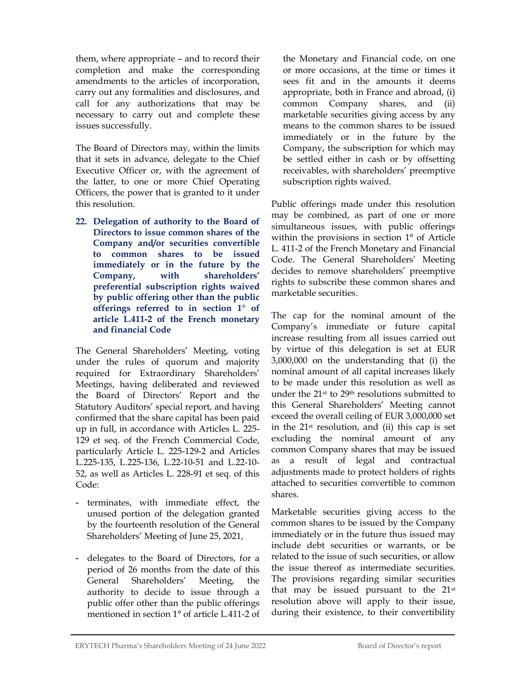them, where appropriate – and to record their completion and make the corresponding amendments to the articles of incorporation, carry out any formalities and disclosures, and call for any authorizations that may be necessary to carry out and complete these issues successfully.

The Board of Directors may, within the limits that it sets in advance, delegate to the Chief Executive Officer or, with the agreement of the latter, to one or more Chief Operating Officers, the power that is granted to it under this resolution.

22. Delegation of authority to the Board of Directors to issue common shares of the Company and/or securities convertible to common shares to be issued immediately or in the future by the Company, with shareholders' preferential subscription rights waived by public offering other than the public offerings referred to in section 1° of article L.411-2 of the French monetary and financial Code

The General Shareholders' Meeting, voting under the rules of quorum and majority required for Extraordinary Shareholders' Meetings, having deliberated and reviewed the Board of Directors' Report and the Statutory Auditors' special report, and having confirmed that the share capital has been paid up in full, in accordance with Articles L. 225- 129 et seq. of the French Commercial Code, particularly Article L. 225-129-2 and Articles L.225-135, L.225-136, L.22-10-51 and L.22-10- 52, as well as Articles L. 228-91 et seq. of this Code:

- terminates, with immediate effect, the unused portion of the delegation granted by the fourteenth resolution of the General Shareholders' Meeting of June 25, 2021,
- delegates to the Board of Directors, for a period of 26 months from the date of this General Shareholders' Meeting, the authority to decide to issue through a public offer other than the public offerings mentioned in section 1° of article L.411-2 of

the Monetary and Financial code, on one or more occasions, at the time or times it sees fit and in the amounts it deems appropriate, both in France and abroad, (i) common Company shares, and (ii) marketable securities giving access by any means to the common shares to be issued immediately or in the future by the Company, the subscription for which may be settled either in cash or by offsetting receivables, with shareholders' preemptive subscription rights waived.

Public offerings made under this resolution may be combined, as part of one or more simultaneous issues, with public offerings within the provisions in section 1° of Article L. 411-2 of the French Monetary and Financial Code. The General Shareholders' Meeting decides to remove shareholders' preemptive rights to subscribe these common shares and marketable securities.

The cap for the nominal amount of the Company's immediate or future capital increase resulting from all issues carried out by virtue of this delegation is set at EUR 3,000,000 on the understanding that (i) the nominal amount of all capital increases likely to be made under this resolution as well as under the 21st to 29th resolutions submitted to this General Shareholders' Meeting cannot exceed the overall ceiling of EUR 3,000,000 set in the 21st resolution, and (ii) this cap is set excluding the nominal amount of any common Company shares that may be issued as a result of legal and contractual adjustments made to protect holders of rights attached to securities convertible to common shares.

Marketable securities giving access to the common shares to be issued by the Company immediately or in the future thus issued may include debt securities or warrants, or be related to the issue of such securities, or allow the issue thereof as intermediate securities. The provisions regarding similar securities that may be issued pursuant to the 21st resolution above will apply to their issue, during their existence, to their convertibility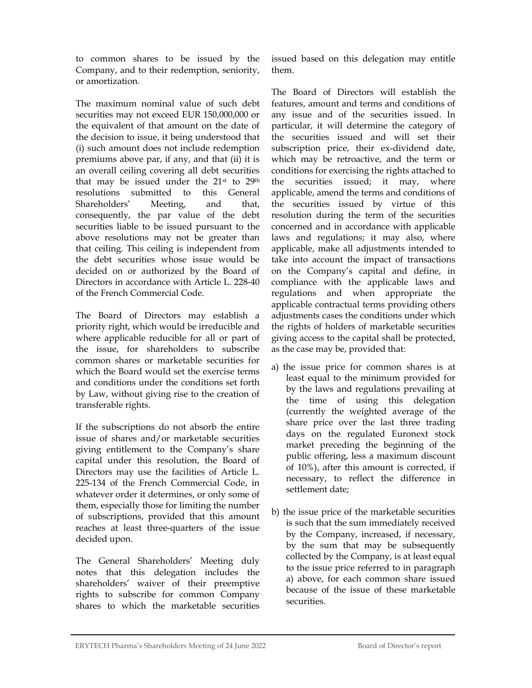to common shares to be issued by the Company, and to their redemption, seniority, or amortization.

The maximum nominal value of such debt securities may not exceed EUR 150,000,000 or the equivalent of that amount on the date of the decision to issue, it being understood that (i) such amount does not include redemption premiums above par, if any, and that (ii) it is an overall ceiling covering all debt securities that may be issued under the  $21$ <sup>st</sup> to  $29$ <sup>th</sup> resolutions submitted to this General Shareholders' Meeting, and that, consequently, the par value of the debt securities liable to be issued pursuant to the above resolutions may not be greater than that ceiling. This ceiling is independent from the debt securities whose issue would be decided on or authorized by the Board of Directors in accordance with Article L. 228-40 of the French Commercial Code.

The Board of Directors may establish a priority right, which would be irreducible and where applicable reducible for all or part of the issue, for shareholders to subscribe common shares or marketable securities for which the Board would set the exercise terms and conditions under the conditions set forth by Law, without giving rise to the creation of transferable rights.

If the subscriptions do not absorb the entire issue of shares and/or marketable securities giving entitlement to the Company's share capital under this resolution, the Board of Directors may use the facilities of Article L. 225-134 of the French Commercial Code, in whatever order it determines, or only some of them, especially those for limiting the number of subscriptions, provided that this amount reaches at least three-quarters of the issue decided upon.

The General Shareholders' Meeting duly notes that this delegation includes the shareholders' waiver of their preemptive rights to subscribe for common Company shares to which the marketable securities issued based on this delegation may entitle them.

The Board of Directors will establish the features, amount and terms and conditions of any issue and of the securities issued. In particular, it will determine the category of the securities issued and will set their subscription price, their ex-dividend date, which may be retroactive, and the term or conditions for exercising the rights attached to the securities issued; it may, where applicable, amend the terms and conditions of the securities issued by virtue of this resolution during the term of the securities concerned and in accordance with applicable laws and regulations; it may also, where applicable, make all adjustments intended to take into account the impact of transactions on the Company's capital and define, in compliance with the applicable laws and regulations and when appropriate the applicable contractual terms providing others adjustments cases the conditions under which the rights of holders of marketable securities giving access to the capital shall be protected, as the case may be, provided that:

- a) the issue price for common shares is at least equal to the minimum provided for by the laws and regulations prevailing at the time of using this delegation (currently the weighted average of the share price over the last three trading days on the regulated Euronext stock market preceding the beginning of the public offering, less a maximum discount of 10%), after this amount is corrected, if necessary, to reflect the difference in settlement date;
- b) the issue price of the marketable securities is such that the sum immediately received by the Company, increased, if necessary, by the sum that may be subsequently collected by the Company, is at least equal to the issue price referred to in paragraph a) above, for each common share issued because of the issue of these marketable securities.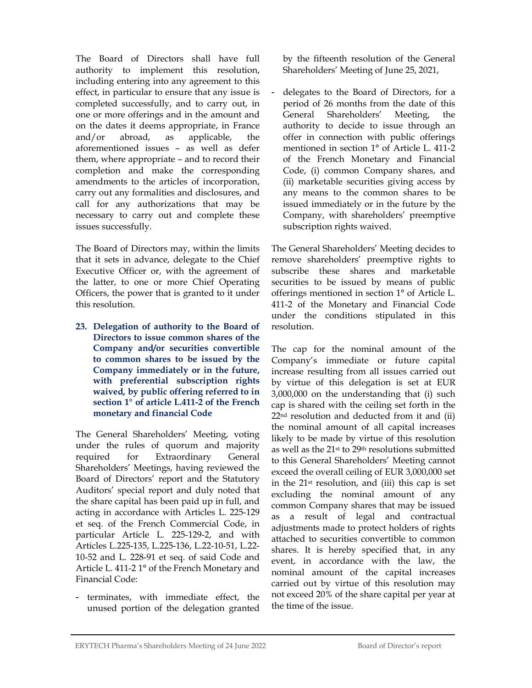The Board of Directors shall have full authority to implement this resolution, including entering into any agreement to this effect, in particular to ensure that any issue is completed successfully, and to carry out, in one or more offerings and in the amount and on the dates it deems appropriate, in France and/or abroad, as applicable, the aforementioned issues – as well as defer them, where appropriate – and to record their completion and make the corresponding amendments to the articles of incorporation, carry out any formalities and disclosures, and call for any authorizations that may be necessary to carry out and complete these issues successfully.

The Board of Directors may, within the limits that it sets in advance, delegate to the Chief Executive Officer or, with the agreement of the latter, to one or more Chief Operating Officers, the power that is granted to it under this resolution.

23. Delegation of authority to the Board of Directors to issue common shares of the Company and/or securities convertible to common shares to be issued by the Company immediately or in the future, with preferential subscription rights waived, by public offering referred to in section 1° of article L.411-2 of the French monetary and financial Code

The General Shareholders' Meeting, voting under the rules of quorum and majority required for Extraordinary General Shareholders' Meetings, having reviewed the Board of Directors' report and the Statutory Auditors' special report and duly noted that the share capital has been paid up in full, and acting in accordance with Articles L. 225-129 et seq. of the French Commercial Code, in particular Article L. 225-129-2, and with Articles L.225-135, L.225-136, L.22-10-51, L.22- 10-52 and L. 228-91 et seq. of said Code and Article L. 411-2 1° of the French Monetary and Financial Code:

- terminates, with immediate effect, the unused portion of the delegation granted

by the fifteenth resolution of the General Shareholders' Meeting of June 25, 2021,

delegates to the Board of Directors, for a period of 26 months from the date of this General Shareholders' Meeting, the authority to decide to issue through an offer in connection with public offerings mentioned in section 1° of Article L. 411-2 of the French Monetary and Financial Code, (i) common Company shares, and (ii) marketable securities giving access by any means to the common shares to be issued immediately or in the future by the Company, with shareholders' preemptive subscription rights waived.

The General Shareholders' Meeting decides to remove shareholders' preemptive rights to subscribe these shares and marketable securities to be issued by means of public offerings mentioned in section 1° of Article L. 411-2 of the Monetary and Financial Code under the conditions stipulated in this resolution.

The cap for the nominal amount of the Company's immediate or future capital increase resulting from all issues carried out by virtue of this delegation is set at EUR 3,000,000 on the understanding that (i) such cap is shared with the ceiling set forth in the 22nd resolution and deducted from it and (ii) the nominal amount of all capital increases likely to be made by virtue of this resolution as well as the 21st to 29th resolutions submitted to this General Shareholders' Meeting cannot exceed the overall ceiling of EUR 3,000,000 set in the 21st resolution, and (iii) this cap is set excluding the nominal amount of any common Company shares that may be issued as a result of legal and contractual adjustments made to protect holders of rights attached to securities convertible to common shares. It is hereby specified that, in any event, in accordance with the law, the nominal amount of the capital increases carried out by virtue of this resolution may not exceed 20% of the share capital per year at the time of the issue.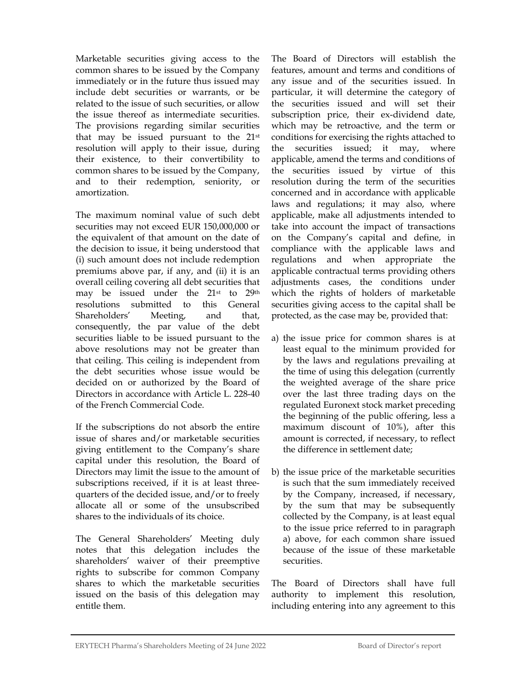Marketable securities giving access to the common shares to be issued by the Company immediately or in the future thus issued may include debt securities or warrants, or be related to the issue of such securities, or allow the issue thereof as intermediate securities. The provisions regarding similar securities that may be issued pursuant to the 21st resolution will apply to their issue, during their existence, to their convertibility to common shares to be issued by the Company, and to their redemption, seniority, or amortization.

The maximum nominal value of such debt securities may not exceed EUR 150,000,000 or the equivalent of that amount on the date of the decision to issue, it being understood that (i) such amount does not include redemption premiums above par, if any, and (ii) it is an overall ceiling covering all debt securities that may be issued under the 21st to 29th resolutions submitted to this General Shareholders' Meeting, and that, consequently, the par value of the debt securities liable to be issued pursuant to the above resolutions may not be greater than that ceiling. This ceiling is independent from the debt securities whose issue would be decided on or authorized by the Board of Directors in accordance with Article L. 228-40 of the French Commercial Code.

If the subscriptions do not absorb the entire issue of shares and/or marketable securities giving entitlement to the Company's share capital under this resolution, the Board of Directors may limit the issue to the amount of subscriptions received, if it is at least threequarters of the decided issue, and/or to freely allocate all or some of the unsubscribed shares to the individuals of its choice.

The General Shareholders' Meeting duly notes that this delegation includes the shareholders' waiver of their preemptive rights to subscribe for common Company shares to which the marketable securities issued on the basis of this delegation may entitle them.

The Board of Directors will establish the features, amount and terms and conditions of any issue and of the securities issued. In particular, it will determine the category of the securities issued and will set their subscription price, their ex-dividend date, which may be retroactive, and the term or conditions for exercising the rights attached to the securities issued; it may, where applicable, amend the terms and conditions of the securities issued by virtue of this resolution during the term of the securities concerned and in accordance with applicable laws and regulations; it may also, where applicable, make all adjustments intended to take into account the impact of transactions on the Company's capital and define, in compliance with the applicable laws and regulations and when appropriate the applicable contractual terms providing others adjustments cases, the conditions under which the rights of holders of marketable securities giving access to the capital shall be protected, as the case may be, provided that:

- a) the issue price for common shares is at least equal to the minimum provided for by the laws and regulations prevailing at the time of using this delegation (currently the weighted average of the share price over the last three trading days on the regulated Euronext stock market preceding the beginning of the public offering, less a maximum discount of 10%), after this amount is corrected, if necessary, to reflect the difference in settlement date;
- b) the issue price of the marketable securities is such that the sum immediately received by the Company, increased, if necessary, by the sum that may be subsequently collected by the Company, is at least equal to the issue price referred to in paragraph a) above, for each common share issued because of the issue of these marketable securities.

The Board of Directors shall have full authority to implement this resolution, including entering into any agreement to this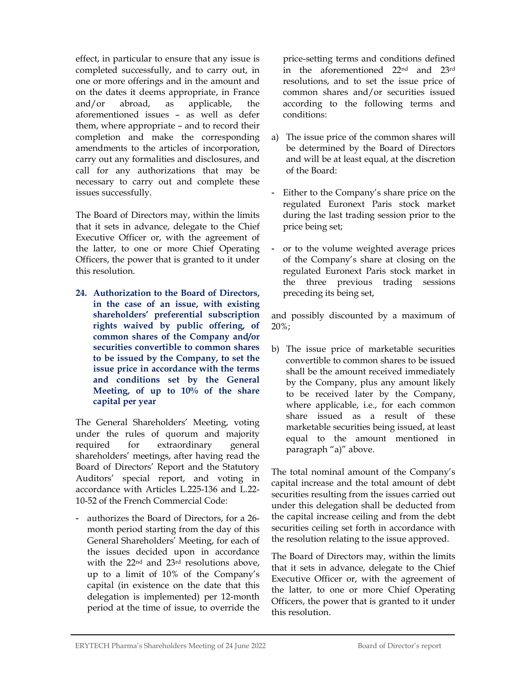effect, in particular to ensure that any issue is completed successfully, and to carry out, in one or more offerings and in the amount and on the dates it deems appropriate, in France and/or abroad, as applicable, the aforementioned issues – as well as defer them, where appropriate – and to record their completion and make the corresponding amendments to the articles of incorporation, carry out any formalities and disclosures, and call for any authorizations that may be necessary to carry out and complete these issues successfully.

The Board of Directors may, within the limits that it sets in advance, delegate to the Chief Executive Officer or, with the agreement of the latter, to one or more Chief Operating Officers, the power that is granted to it under this resolution.

24. Authorization to the Board of Directors, in the case of an issue, with existing shareholders' preferential subscription rights waived by public offering, of common shares of the Company and/or securities convertible to common shares to be issued by the Company, to set the issue price in accordance with the terms and conditions set by the General Meeting, of up to 10% of the share capital per year

The General Shareholders' Meeting, voting under the rules of quorum and majority required for extraordinary general shareholders' meetings, after having read the Board of Directors' Report and the Statutory Auditors' special report, and voting in accordance with Articles L.225-136 and L.22- 10-52 of the French Commercial Code:

- authorizes the Board of Directors, for a 26 month period starting from the day of this General Shareholders' Meeting, for each of the issues decided upon in accordance with the 22nd and 23rd resolutions above, up to a limit of 10% of the Company's capital (in existence on the date that this delegation is implemented) per 12-month period at the time of issue, to override the price-setting terms and conditions defined in the aforementioned 22nd and 23rd resolutions, and to set the issue price of common shares and/or securities issued according to the following terms and conditions:

- a) The issue price of the common shares will be determined by the Board of Directors and will be at least equal, at the discretion of the Board:
- Either to the Company's share price on the regulated Euronext Paris stock market during the last trading session prior to the price being set;
- or to the volume weighted average prices of the Company's share at closing on the regulated Euronext Paris stock market in the three previous trading sessions preceding its being set,

and possibly discounted by a maximum of 20%;

b) The issue price of marketable securities convertible to common shares to be issued shall be the amount received immediately by the Company, plus any amount likely to be received later by the Company, where applicable, i.e., for each common share issued as a result of these marketable securities being issued, at least equal to the amount mentioned in paragraph "a)" above.

The total nominal amount of the Company's capital increase and the total amount of debt securities resulting from the issues carried out under this delegation shall be deducted from the capital increase ceiling and from the debt securities ceiling set forth in accordance with the resolution relating to the issue approved.

The Board of Directors may, within the limits that it sets in advance, delegate to the Chief Executive Officer or, with the agreement of the latter, to one or more Chief Operating Officers, the power that is granted to it under this resolution.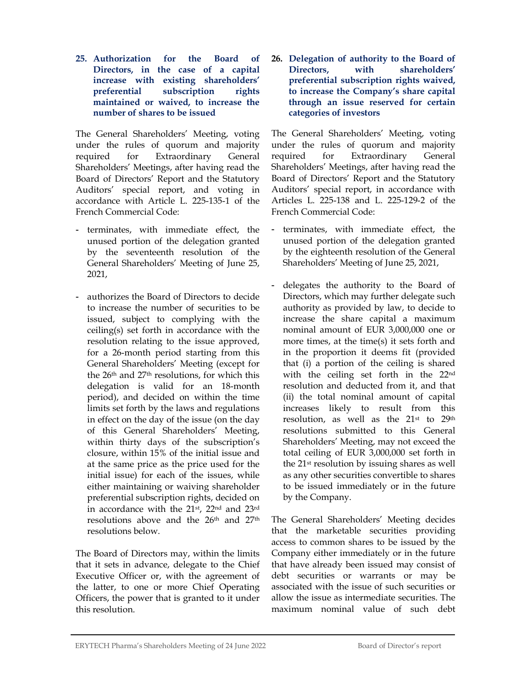25. Authorization for the Board of Directors, in the case of a capital increase with existing shareholders' preferential subscription rights maintained or waived, to increase the number of shares to be issued

The General Shareholders' Meeting, voting under the rules of quorum and majority required for Extraordinary General Shareholders' Meetings, after having read the Board of Directors' Report and the Statutory Auditors' special report, and voting in accordance with Article L. 225-135-1 of the French Commercial Code:

- terminates, with immediate effect, the unused portion of the delegation granted by the seventeenth resolution of the General Shareholders' Meeting of June 25, 2021,
- authorizes the Board of Directors to decide to increase the number of securities to be issued, subject to complying with the ceiling(s) set forth in accordance with the resolution relating to the issue approved, for a 26-month period starting from this General Shareholders' Meeting (except for the 26th and 27th resolutions, for which this delegation is valid for an 18-month period), and decided on within the time limits set forth by the laws and regulations in effect on the day of the issue (on the day of this General Shareholders' Meeting, within thirty days of the subscription's closure, within 15% of the initial issue and at the same price as the price used for the initial issue) for each of the issues, while either maintaining or waiving shareholder preferential subscription rights, decided on in accordance with the 21st, 22nd and 23rd resolutions above and the 26th and 27th resolutions below.

The Board of Directors may, within the limits that it sets in advance, delegate to the Chief Executive Officer or, with the agreement of the latter, to one or more Chief Operating Officers, the power that is granted to it under this resolution.

26. Delegation of authority to the Board of Directors, with shareholders' preferential subscription rights waived, to increase the Company's share capital through an issue reserved for certain categories of investors

The General Shareholders' Meeting, voting under the rules of quorum and majority required for Extraordinary General Shareholders' Meetings, after having read the Board of Directors' Report and the Statutory Auditors' special report, in accordance with Articles L. 225-138 and L. 225-129-2 of the French Commercial Code:

- terminates, with immediate effect, the unused portion of the delegation granted by the eighteenth resolution of the General Shareholders' Meeting of June 25, 2021,
- delegates the authority to the Board of Directors, which may further delegate such authority as provided by law, to decide to increase the share capital a maximum nominal amount of EUR 3,000,000 one or more times, at the time(s) it sets forth and in the proportion it deems fit (provided that (i) a portion of the ceiling is shared with the ceiling set forth in the 22nd resolution and deducted from it, and that (ii) the total nominal amount of capital increases likely to result from this resolution, as well as the 21st to 29th resolutions submitted to this General Shareholders' Meeting, may not exceed the total ceiling of EUR 3,000,000 set forth in the 21st resolution by issuing shares as well as any other securities convertible to shares to be issued immediately or in the future by the Company.

The General Shareholders' Meeting decides that the marketable securities providing access to common shares to be issued by the Company either immediately or in the future that have already been issued may consist of debt securities or warrants or may be associated with the issue of such securities or allow the issue as intermediate securities. The maximum nominal value of such debt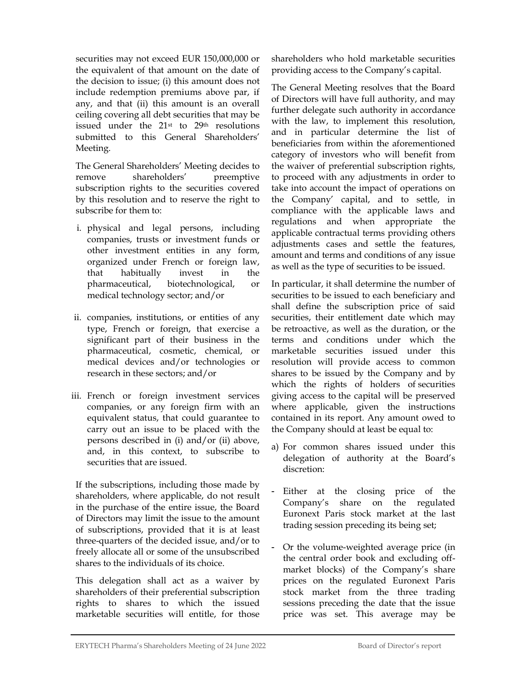securities may not exceed EUR 150,000,000 or the equivalent of that amount on the date of the decision to issue; (i) this amount does not include redemption premiums above par, if any, and that (ii) this amount is an overall ceiling covering all debt securities that may be issued under the  $21<sup>st</sup>$  to  $29<sup>th</sup>$  resolutions submitted to this General Shareholders' Meeting.

The General Shareholders' Meeting decides to remove shareholders' preemptive subscription rights to the securities covered by this resolution and to reserve the right to subscribe for them to:

- i. physical and legal persons, including companies, trusts or investment funds or other investment entities in any form, organized under French or foreign law, that habitually invest in the pharmaceutical, biotechnological, or medical technology sector; and/or
- ii. companies, institutions, or entities of any type, French or foreign, that exercise a significant part of their business in the pharmaceutical, cosmetic, chemical, or medical devices and/or technologies or research in these sectors; and/or
- iii. French or foreign investment services companies, or any foreign firm with an equivalent status, that could guarantee to carry out an issue to be placed with the persons described in (i) and/or (ii) above, and, in this context, to subscribe to securities that are issued.

If the subscriptions, including those made by shareholders, where applicable, do not result in the purchase of the entire issue, the Board of Directors may limit the issue to the amount of subscriptions, provided that it is at least three-quarters of the decided issue, and/or to freely allocate all or some of the unsubscribed shares to the individuals of its choice.

This delegation shall act as a waiver by shareholders of their preferential subscription rights to shares to which the issued marketable securities will entitle, for those shareholders who hold marketable securities providing access to the Company's capital.

The General Meeting resolves that the Board of Directors will have full authority, and may further delegate such authority in accordance with the law, to implement this resolution, and in particular determine the list of beneficiaries from within the aforementioned category of investors who will benefit from the waiver of preferential subscription rights, to proceed with any adjustments in order to take into account the impact of operations on the Company' capital, and to settle, in compliance with the applicable laws and regulations and when appropriate the applicable contractual terms providing others adjustments cases and settle the features, amount and terms and conditions of any issue as well as the type of securities to be issued.

In particular, it shall determine the number of securities to be issued to each beneficiary and shall define the subscription price of said securities, their entitlement date which may be retroactive, as well as the duration, or the terms and conditions under which the marketable securities issued under this resolution will provide access to common shares to be issued by the Company and by which the rights of holders of securities giving access to the capital will be preserved where applicable, given the instructions contained in its report. Any amount owed to the Company should at least be equal to:

- a) For common shares issued under this delegation of authority at the Board's discretion:
- Either at the closing price of the Company's share on the regulated Euronext Paris stock market at the last trading session preceding its being set;
- Or the volume-weighted average price (in the central order book and excluding offmarket blocks) of the Company's share prices on the regulated Euronext Paris stock market from the three trading sessions preceding the date that the issue price was set. This average may be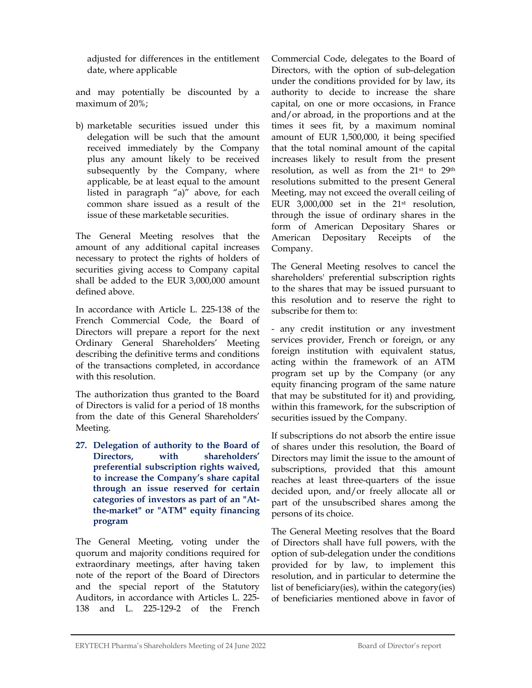adjusted for differences in the entitlement date, where applicable

and may potentially be discounted by a maximum of 20%;

b) marketable securities issued under this delegation will be such that the amount received immediately by the Company plus any amount likely to be received subsequently by the Company, where applicable, be at least equal to the amount listed in paragraph "a)" above, for each common share issued as a result of the issue of these marketable securities.

The General Meeting resolves that the amount of any additional capital increases necessary to protect the rights of holders of securities giving access to Company capital shall be added to the EUR 3,000,000 amount defined above.

In accordance with Article L. 225-138 of the French Commercial Code, the Board of Directors will prepare a report for the next Ordinary General Shareholders' Meeting describing the definitive terms and conditions of the transactions completed, in accordance with this resolution.

The authorization thus granted to the Board of Directors is valid for a period of 18 months from the date of this General Shareholders' Meeting.

27. Delegation of authority to the Board of Directors, with shareholders' preferential subscription rights waived, to increase the Company's share capital through an issue reserved for certain categories of investors as part of an "Atthe-market" or "ATM" equity financing program

The General Meeting, voting under the quorum and majority conditions required for extraordinary meetings, after having taken note of the report of the Board of Directors and the special report of the Statutory Auditors, in accordance with Articles L. 225- 138 and L. 225-129-2 of the French Commercial Code, delegates to the Board of Directors, with the option of sub-delegation under the conditions provided for by law, its authority to decide to increase the share capital, on one or more occasions, in France and/or abroad, in the proportions and at the times it sees fit, by a maximum nominal amount of EUR 1,500,000, it being specified that the total nominal amount of the capital increases likely to result from the present resolution, as well as from the 21st to 29th resolutions submitted to the present General Meeting, may not exceed the overall ceiling of EUR 3,000,000 set in the 21st resolution, through the issue of ordinary shares in the form of American Depositary Shares or American Depositary Receipts of the Company.

The General Meeting resolves to cancel the shareholders' preferential subscription rights to the shares that may be issued pursuant to this resolution and to reserve the right to subscribe for them to:

- any credit institution or any investment services provider, French or foreign, or any foreign institution with equivalent status, acting within the framework of an ATM program set up by the Company (or any equity financing program of the same nature that may be substituted for it) and providing, within this framework, for the subscription of securities issued by the Company.

If subscriptions do not absorb the entire issue of shares under this resolution, the Board of Directors may limit the issue to the amount of subscriptions, provided that this amount reaches at least three-quarters of the issue decided upon, and/or freely allocate all or part of the unsubscribed shares among the persons of its choice.

The General Meeting resolves that the Board of Directors shall have full powers, with the option of sub-delegation under the conditions provided for by law, to implement this resolution, and in particular to determine the list of beneficiary(ies), within the category(ies) of beneficiaries mentioned above in favor of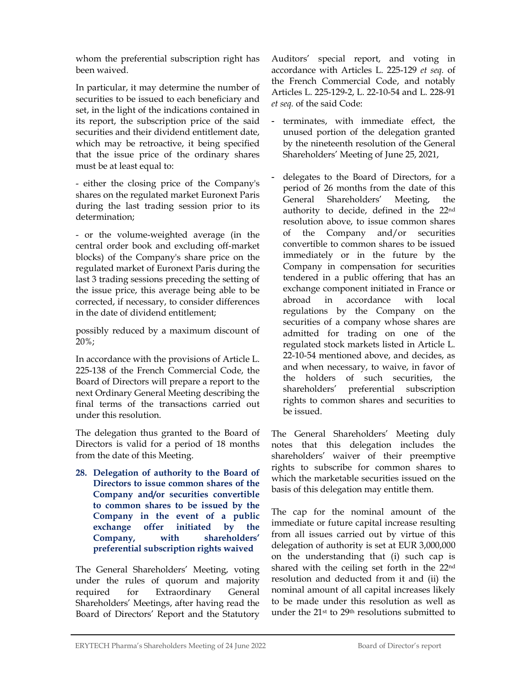whom the preferential subscription right has been waived.

In particular, it may determine the number of securities to be issued to each beneficiary and set, in the light of the indications contained in its report, the subscription price of the said securities and their dividend entitlement date, which may be retroactive, it being specified that the issue price of the ordinary shares must be at least equal to:

- either the closing price of the Company's shares on the regulated market Euronext Paris during the last trading session prior to its determination;

- or the volume-weighted average (in the central order book and excluding off-market blocks) of the Company's share price on the regulated market of Euronext Paris during the last 3 trading sessions preceding the setting of the issue price, this average being able to be corrected, if necessary, to consider differences in the date of dividend entitlement;

possibly reduced by a maximum discount of 20%;

In accordance with the provisions of Article L. 225-138 of the French Commercial Code, the Board of Directors will prepare a report to the next Ordinary General Meeting describing the final terms of the transactions carried out under this resolution.

The delegation thus granted to the Board of Directors is valid for a period of 18 months from the date of this Meeting.

28. Delegation of authority to the Board of Directors to issue common shares of the Company and/or securities convertible to common shares to be issued by the Company in the event of a public exchange offer initiated by the Company, with shareholders' preferential subscription rights waived

The General Shareholders' Meeting, voting under the rules of quorum and majority required for Extraordinary General Shareholders' Meetings, after having read the Board of Directors' Report and the Statutory Auditors' special report, and voting in accordance with Articles L. 225-129 et seq. of the French Commercial Code, and notably Articles L. 225-129-2, L. 22-10-54 and L. 228-91 et seq. of the said Code:

- terminates, with immediate effect, the unused portion of the delegation granted by the nineteenth resolution of the General Shareholders' Meeting of June 25, 2021,
- delegates to the Board of Directors, for a period of 26 months from the date of this General Shareholders' Meeting, the authority to decide, defined in the 22nd resolution above, to issue common shares of the Company and/or securities convertible to common shares to be issued immediately or in the future by the Company in compensation for securities tendered in a public offering that has an exchange component initiated in France or abroad in accordance with local regulations by the Company on the securities of a company whose shares are admitted for trading on one of the regulated stock markets listed in Article L. 22-10-54 mentioned above, and decides, as and when necessary, to waive, in favor of the holders of such securities, the shareholders' preferential subscription rights to common shares and securities to be issued.

The General Shareholders' Meeting duly notes that this delegation includes the shareholders' waiver of their preemptive rights to subscribe for common shares to which the marketable securities issued on the basis of this delegation may entitle them.

The cap for the nominal amount of the immediate or future capital increase resulting from all issues carried out by virtue of this delegation of authority is set at EUR 3,000,000 on the understanding that (i) such cap is shared with the ceiling set forth in the 22nd resolution and deducted from it and (ii) the nominal amount of all capital increases likely to be made under this resolution as well as under the 21st to 29th resolutions submitted to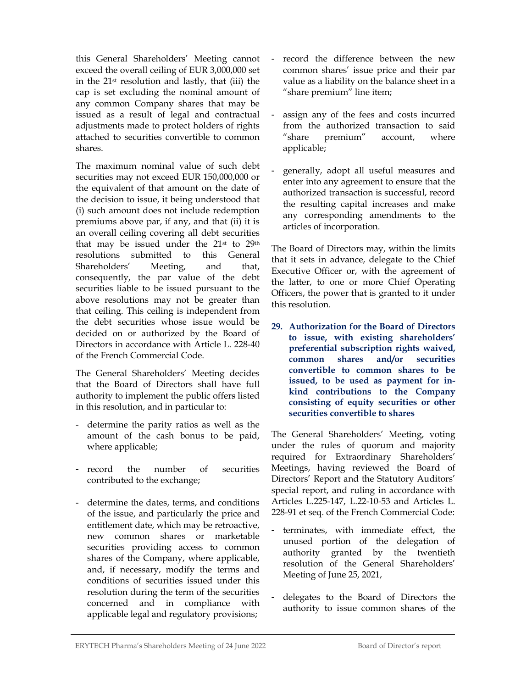this General Shareholders' Meeting cannot exceed the overall ceiling of EUR 3,000,000 set in the 21st resolution and lastly, that (iii) the cap is set excluding the nominal amount of any common Company shares that may be issued as a result of legal and contractual adjustments made to protect holders of rights attached to securities convertible to common shares.

The maximum nominal value of such debt securities may not exceed EUR 150,000,000 or the equivalent of that amount on the date of the decision to issue, it being understood that (i) such amount does not include redemption premiums above par, if any, and that (ii) it is an overall ceiling covering all debt securities that may be issued under the 21st to 29th resolutions submitted to this General Shareholders' Meeting, and that, consequently, the par value of the debt securities liable to be issued pursuant to the above resolutions may not be greater than that ceiling. This ceiling is independent from the debt securities whose issue would be decided on or authorized by the Board of Directors in accordance with Article L. 228-40 of the French Commercial Code.

The General Shareholders' Meeting decides that the Board of Directors shall have full authority to implement the public offers listed in this resolution, and in particular to:

- determine the parity ratios as well as the amount of the cash bonus to be paid, where applicable;
- record the number of securities contributed to the exchange;
- determine the dates, terms, and conditions of the issue, and particularly the price and entitlement date, which may be retroactive, new common shares or marketable securities providing access to common shares of the Company, where applicable, and, if necessary, modify the terms and conditions of securities issued under this resolution during the term of the securities concerned and in compliance with applicable legal and regulatory provisions;
- record the difference between the new common shares' issue price and their par value as a liability on the balance sheet in a "share premium" line item;
- assign any of the fees and costs incurred from the authorized transaction to said "share premium" account, where applicable;
- generally, adopt all useful measures and enter into any agreement to ensure that the authorized transaction is successful, record the resulting capital increases and make any corresponding amendments to the articles of incorporation.

The Board of Directors may, within the limits that it sets in advance, delegate to the Chief Executive Officer or, with the agreement of the latter, to one or more Chief Operating Officers, the power that is granted to it under this resolution.

29. Authorization for the Board of Directors to issue, with existing shareholders' preferential subscription rights waived, common shares and/or securities convertible to common shares to be issued, to be used as payment for inkind contributions to the Company consisting of equity securities or other securities convertible to shares

The General Shareholders' Meeting, voting under the rules of quorum and majority required for Extraordinary Shareholders' Meetings, having reviewed the Board of Directors' Report and the Statutory Auditors' special report, and ruling in accordance with Articles L.225-147, L.22-10-53 and Articles L. 228-91 et seq. of the French Commercial Code:

- terminates, with immediate effect, the unused portion of the delegation of authority granted by the twentieth resolution of the General Shareholders' Meeting of June 25, 2021,
- delegates to the Board of Directors the authority to issue common shares of the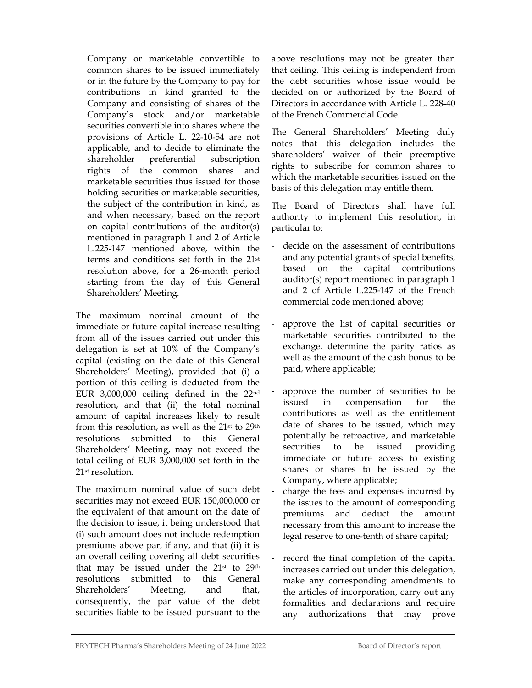Company or marketable convertible to common shares to be issued immediately or in the future by the Company to pay for contributions in kind granted to the Company and consisting of shares of the Company's stock and/or marketable securities convertible into shares where the provisions of Article L. 22-10-54 are not applicable, and to decide to eliminate the shareholder preferential subscription rights of the common shares and marketable securities thus issued for those holding securities or marketable securities, the subject of the contribution in kind, as and when necessary, based on the report on capital contributions of the auditor(s) mentioned in paragraph 1 and 2 of Article L.225-147 mentioned above, within the terms and conditions set forth in the 21st resolution above, for a 26-month period starting from the day of this General Shareholders' Meeting.

The maximum nominal amount of the immediate or future capital increase resulting from all of the issues carried out under this delegation is set at 10% of the Company's capital (existing on the date of this General Shareholders' Meeting), provided that (i) a portion of this ceiling is deducted from the EUR 3,000,000 ceiling defined in the 22nd resolution, and that (ii) the total nominal amount of capital increases likely to result from this resolution, as well as the 21<sup>st</sup> to 29<sup>th</sup> resolutions submitted to this General Shareholders' Meeting, may not exceed the total ceiling of EUR 3,000,000 set forth in the 21st resolution.

The maximum nominal value of such debt securities may not exceed EUR 150,000,000 or the equivalent of that amount on the date of the decision to issue, it being understood that (i) such amount does not include redemption premiums above par, if any, and that (ii) it is an overall ceiling covering all debt securities that may be issued under the 21st to 29th resolutions submitted to this General Shareholders' Meeting, and that, consequently, the par value of the debt securities liable to be issued pursuant to the

above resolutions may not be greater than that ceiling. This ceiling is independent from the debt securities whose issue would be decided on or authorized by the Board of Directors in accordance with Article L. 228-40 of the French Commercial Code.

The General Shareholders' Meeting duly notes that this delegation includes the shareholders' waiver of their preemptive rights to subscribe for common shares to which the marketable securities issued on the basis of this delegation may entitle them.

The Board of Directors shall have full authority to implement this resolution, in particular to:

- decide on the assessment of contributions and any potential grants of special benefits, based on the capital contributions auditor(s) report mentioned in paragraph 1 and 2 of Article L.225-147 of the French commercial code mentioned above;
- approve the list of capital securities or marketable securities contributed to the exchange, determine the parity ratios as well as the amount of the cash bonus to be paid, where applicable;
- approve the number of securities to be issued in compensation for the contributions as well as the entitlement date of shares to be issued, which may potentially be retroactive, and marketable securities to be issued providing immediate or future access to existing shares or shares to be issued by the Company, where applicable;
- charge the fees and expenses incurred by the issues to the amount of corresponding premiums and deduct the amount necessary from this amount to increase the legal reserve to one-tenth of share capital;
- record the final completion of the capital increases carried out under this delegation, make any corresponding amendments to the articles of incorporation, carry out any formalities and declarations and require any authorizations that may prove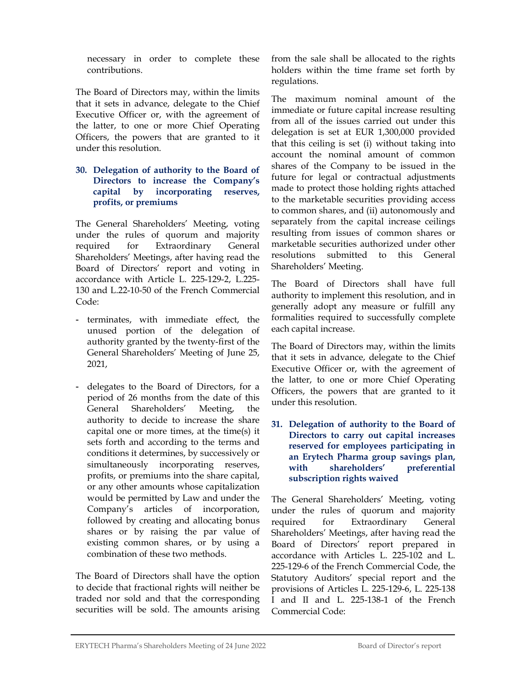necessary in order to complete these contributions.

The Board of Directors may, within the limits that it sets in advance, delegate to the Chief Executive Officer or, with the agreement of the latter, to one or more Chief Operating Officers, the powers that are granted to it under this resolution.

#### 30. Delegation of authority to the Board of Directors to increase the Company's capital by incorporating reserves, profits, or premiums

The General Shareholders' Meeting, voting under the rules of quorum and majority required for Extraordinary General Shareholders' Meetings, after having read the Board of Directors' report and voting in accordance with Article L. 225-129-2, L.225- 130 and L.22-10-50 of the French Commercial Code:

- terminates, with immediate effect, the unused portion of the delegation of authority granted by the twenty-first of the General Shareholders' Meeting of June 25, 2021,
- delegates to the Board of Directors, for a period of 26 months from the date of this General Shareholders' Meeting, the authority to decide to increase the share capital one or more times, at the time(s) it sets forth and according to the terms and conditions it determines, by successively or simultaneously incorporating reserves, profits, or premiums into the share capital, or any other amounts whose capitalization would be permitted by Law and under the Company's articles of incorporation, followed by creating and allocating bonus shares or by raising the par value of existing common shares, or by using a combination of these two methods.

The Board of Directors shall have the option to decide that fractional rights will neither be traded nor sold and that the corresponding securities will be sold. The amounts arising from the sale shall be allocated to the rights holders within the time frame set forth by regulations.

The maximum nominal amount of the immediate or future capital increase resulting from all of the issues carried out under this delegation is set at EUR 1,300,000 provided that this ceiling is set (i) without taking into account the nominal amount of common shares of the Company to be issued in the future for legal or contractual adjustments made to protect those holding rights attached to the marketable securities providing access to common shares, and (ii) autonomously and separately from the capital increase ceilings resulting from issues of common shares or marketable securities authorized under other resolutions submitted to this General Shareholders' Meeting.

The Board of Directors shall have full authority to implement this resolution, and in generally adopt any measure or fulfill any formalities required to successfully complete each capital increase.

The Board of Directors may, within the limits that it sets in advance, delegate to the Chief Executive Officer or, with the agreement of the latter, to one or more Chief Operating Officers, the powers that are granted to it under this resolution.

31. Delegation of authority to the Board of Directors to carry out capital increases reserved for employees participating in an Erytech Pharma group savings plan, with shareholders' preferential subscription rights waived

The General Shareholders' Meeting, voting under the rules of quorum and majority required for Extraordinary General Shareholders' Meetings, after having read the Board of Directors' report prepared in accordance with Articles L. 225-102 and L. 225-129-6 of the French Commercial Code, the Statutory Auditors' special report and the provisions of Articles L. 225-129-6, L. 225-138 I and II and L. 225-138-1 of the French Commercial Code: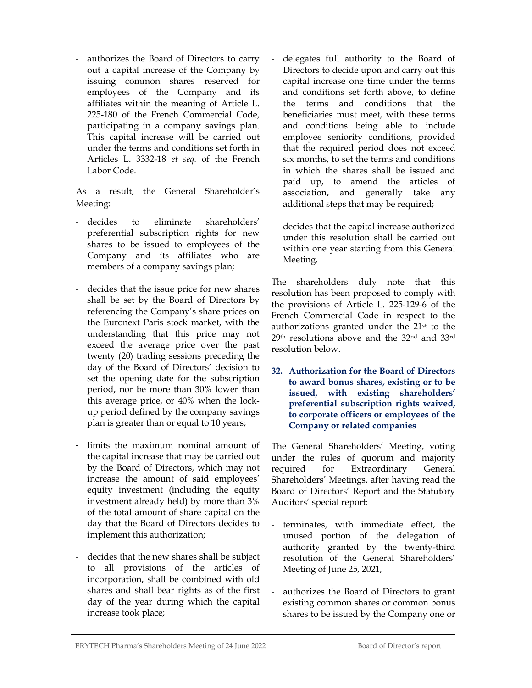- authorizes the Board of Directors to carry out a capital increase of the Company by issuing common shares reserved for employees of the Company and its affiliates within the meaning of Article L. 225-180 of the French Commercial Code, participating in a company savings plan. This capital increase will be carried out under the terms and conditions set forth in Articles L. 3332-18 et seq. of the French Labor Code.

As a result, the General Shareholder's Meeting:

- decides to eliminate shareholders' preferential subscription rights for new shares to be issued to employees of the Company and its affiliates who are members of a company savings plan;
- decides that the issue price for new shares shall be set by the Board of Directors by referencing the Company's share prices on the Euronext Paris stock market, with the understanding that this price may not exceed the average price over the past twenty (20) trading sessions preceding the day of the Board of Directors' decision to set the opening date for the subscription period, nor be more than 30% lower than this average price, or 40% when the lockup period defined by the company savings plan is greater than or equal to 10 years;
- limits the maximum nominal amount of the capital increase that may be carried out by the Board of Directors, which may not increase the amount of said employees' equity investment (including the equity investment already held) by more than 3% of the total amount of share capital on the day that the Board of Directors decides to implement this authorization;
- decides that the new shares shall be subject to all provisions of the articles of incorporation, shall be combined with old shares and shall bear rights as of the first day of the year during which the capital increase took place;
- delegates full authority to the Board of Directors to decide upon and carry out this capital increase one time under the terms and conditions set forth above, to define the terms and conditions that the beneficiaries must meet, with these terms and conditions being able to include employee seniority conditions, provided that the required period does not exceed six months, to set the terms and conditions in which the shares shall be issued and paid up, to amend the articles of association, and generally take any additional steps that may be required;
- decides that the capital increase authorized under this resolution shall be carried out within one year starting from this General Meeting.

The shareholders duly note that this resolution has been proposed to comply with the provisions of Article L. 225-129-6 of the French Commercial Code in respect to the authorizations granted under the 21st to the 29th resolutions above and the 32nd and 33rd resolution below.

32. Authorization for the Board of Directors to award bonus shares, existing or to be issued, with existing shareholders' preferential subscription rights waived, to corporate officers or employees of the Company or related companies

The General Shareholders' Meeting, voting under the rules of quorum and majority required for Extraordinary General Shareholders' Meetings, after having read the Board of Directors' Report and the Statutory Auditors' special report:

- terminates, with immediate effect, the unused portion of the delegation of authority granted by the twenty-third resolution of the General Shareholders' Meeting of June 25, 2021,
- authorizes the Board of Directors to grant existing common shares or common bonus shares to be issued by the Company one or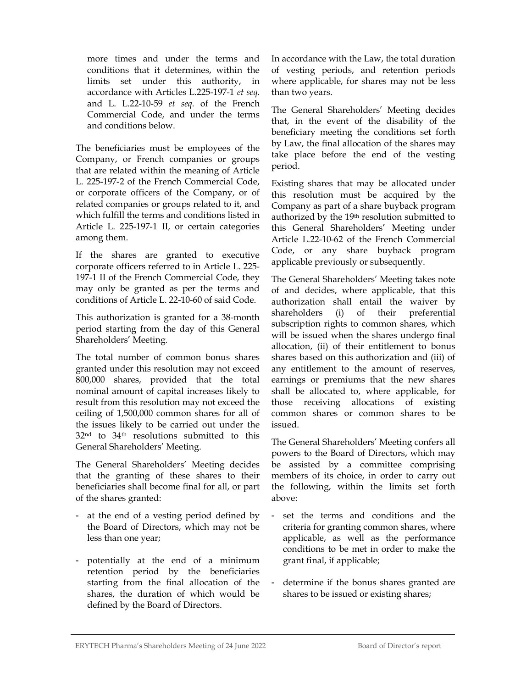more times and under the terms and conditions that it determines, within the limits set under this authority, in accordance with Articles L.225-197-1 et seq. and L. L.22-10-59 et seq. of the French Commercial Code, and under the terms and conditions below.

The beneficiaries must be employees of the Company, or French companies or groups that are related within the meaning of Article L. 225-197-2 of the French Commercial Code, or corporate officers of the Company, or of related companies or groups related to it, and which fulfill the terms and conditions listed in Article L. 225-197-1 II, or certain categories among them.

If the shares are granted to executive corporate officers referred to in Article L. 225- 197-1 II of the French Commercial Code, they may only be granted as per the terms and conditions of Article L. 22-10-60 of said Code.

This authorization is granted for a 38-month period starting from the day of this General Shareholders' Meeting.

The total number of common bonus shares granted under this resolution may not exceed 800,000 shares, provided that the total nominal amount of capital increases likely to result from this resolution may not exceed the ceiling of 1,500,000 common shares for all of the issues likely to be carried out under the 32nd to 34th resolutions submitted to this General Shareholders' Meeting.

The General Shareholders' Meeting decides that the granting of these shares to their beneficiaries shall become final for all, or part of the shares granted:

- at the end of a vesting period defined by the Board of Directors, which may not be less than one year;
- potentially at the end of a minimum retention period by the beneficiaries starting from the final allocation of the shares, the duration of which would be defined by the Board of Directors.

In accordance with the Law, the total duration of vesting periods, and retention periods where applicable, for shares may not be less than two years.

The General Shareholders' Meeting decides that, in the event of the disability of the beneficiary meeting the conditions set forth by Law, the final allocation of the shares may take place before the end of the vesting period.

Existing shares that may be allocated under this resolution must be acquired by the Company as part of a share buyback program authorized by the 19th resolution submitted to this General Shareholders' Meeting under Article L.22-10-62 of the French Commercial Code, or any share buyback program applicable previously or subsequently.

The General Shareholders' Meeting takes note of and decides, where applicable, that this authorization shall entail the waiver by shareholders (i) of their preferential subscription rights to common shares, which will be issued when the shares undergo final allocation, (ii) of their entitlement to bonus shares based on this authorization and (iii) of any entitlement to the amount of reserves, earnings or premiums that the new shares shall be allocated to, where applicable, for those receiving allocations of existing common shares or common shares to be issued.

The General Shareholders' Meeting confers all powers to the Board of Directors, which may be assisted by a committee comprising members of its choice, in order to carry out the following, within the limits set forth above:

- set the terms and conditions and the criteria for granting common shares, where applicable, as well as the performance conditions to be met in order to make the grant final, if applicable;
- determine if the bonus shares granted are shares to be issued or existing shares;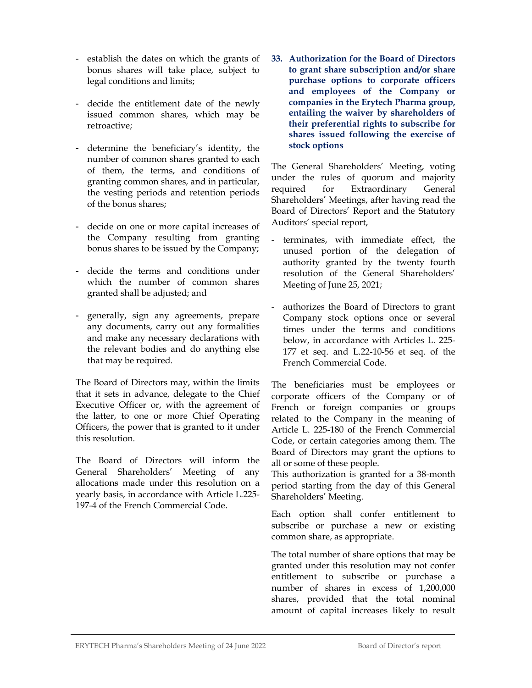- establish the dates on which the grants of bonus shares will take place, subject to legal conditions and limits;
- decide the entitlement date of the newly issued common shares, which may be retroactive;
- determine the beneficiary's identity, the number of common shares granted to each of them, the terms, and conditions of granting common shares, and in particular, the vesting periods and retention periods of the bonus shares;
- decide on one or more capital increases of the Company resulting from granting bonus shares to be issued by the Company;
- decide the terms and conditions under which the number of common shares granted shall be adjusted; and
- generally, sign any agreements, prepare any documents, carry out any formalities and make any necessary declarations with the relevant bodies and do anything else that may be required.

The Board of Directors may, within the limits that it sets in advance, delegate to the Chief Executive Officer or, with the agreement of the latter, to one or more Chief Operating Officers, the power that is granted to it under this resolution.

The Board of Directors will inform the General Shareholders' Meeting of any allocations made under this resolution on a yearly basis, in accordance with Article L.225- 197-4 of the French Commercial Code.

33. Authorization for the Board of Directors to grant share subscription and/or share purchase options to corporate officers and employees of the Company or companies in the Erytech Pharma group, entailing the waiver by shareholders of their preferential rights to subscribe for shares issued following the exercise of stock options

The General Shareholders' Meeting, voting under the rules of quorum and majority required for Extraordinary General Shareholders' Meetings, after having read the Board of Directors' Report and the Statutory Auditors' special report,

- terminates, with immediate effect, the unused portion of the delegation of authority granted by the twenty fourth resolution of the General Shareholders' Meeting of June 25, 2021;
- authorizes the Board of Directors to grant Company stock options once or several times under the terms and conditions below, in accordance with Articles L. 225- 177 et seq. and L.22-10-56 et seq. of the French Commercial Code.

The beneficiaries must be employees or corporate officers of the Company or of French or foreign companies or groups related to the Company in the meaning of Article L. 225-180 of the French Commercial Code, or certain categories among them. The Board of Directors may grant the options to all or some of these people.

This authorization is granted for a 38-month period starting from the day of this General Shareholders' Meeting.

Each option shall confer entitlement to subscribe or purchase a new or existing common share, as appropriate.

The total number of share options that may be granted under this resolution may not confer entitlement to subscribe or purchase a number of shares in excess of 1,200,000 shares, provided that the total nominal amount of capital increases likely to result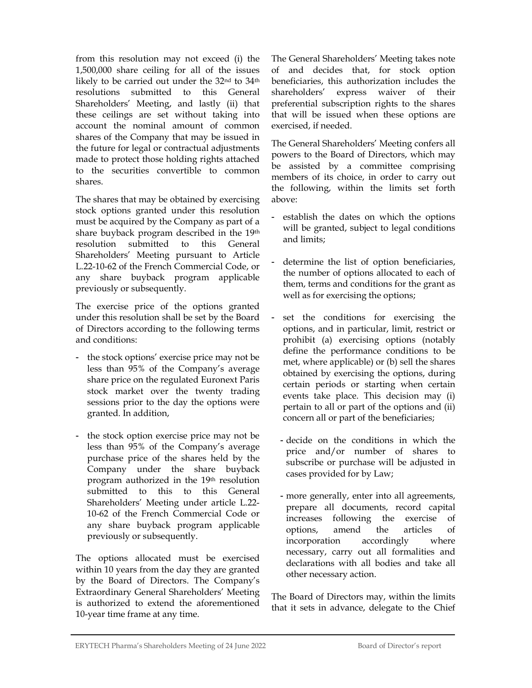from this resolution may not exceed (i) the 1,500,000 share ceiling for all of the issues likely to be carried out under the 32nd to 34th resolutions submitted to this General Shareholders' Meeting, and lastly (ii) that these ceilings are set without taking into account the nominal amount of common shares of the Company that may be issued in the future for legal or contractual adjustments made to protect those holding rights attached to the securities convertible to common shares.

The shares that may be obtained by exercising stock options granted under this resolution must be acquired by the Company as part of a share buyback program described in the 19th resolution submitted to this General Shareholders' Meeting pursuant to Article L.22-10-62 of the French Commercial Code, or any share buyback program applicable previously or subsequently.

The exercise price of the options granted under this resolution shall be set by the Board of Directors according to the following terms and conditions:

- the stock options' exercise price may not be less than 95% of the Company's average share price on the regulated Euronext Paris stock market over the twenty trading sessions prior to the day the options were granted. In addition,
- the stock option exercise price may not be less than 95% of the Company's average purchase price of the shares held by the Company under the share buyback program authorized in the 19th resolution submitted to this to this General Shareholders' Meeting under article L.22- 10-62 of the French Commercial Code or any share buyback program applicable previously or subsequently.

The options allocated must be exercised within 10 years from the day they are granted by the Board of Directors. The Company's Extraordinary General Shareholders' Meeting is authorized to extend the aforementioned 10-year time frame at any time.

The General Shareholders' Meeting takes note of and decides that, for stock option beneficiaries, this authorization includes the shareholders' express waiver of their preferential subscription rights to the shares that will be issued when these options are exercised, if needed.

The General Shareholders' Meeting confers all powers to the Board of Directors, which may be assisted by a committee comprising members of its choice, in order to carry out the following, within the limits set forth above:

- establish the dates on which the options will be granted, subject to legal conditions and limits;
- determine the list of option beneficiaries, the number of options allocated to each of them, terms and conditions for the grant as well as for exercising the options;
- set the conditions for exercising the options, and in particular, limit, restrict or prohibit (a) exercising options (notably define the performance conditions to be met, where applicable) or (b) sell the shares obtained by exercising the options, during certain periods or starting when certain events take place. This decision may (i) pertain to all or part of the options and (ii) concern all or part of the beneficiaries;
	- decide on the conditions in which the price and/or number of shares to subscribe or purchase will be adjusted in cases provided for by Law;
	- more generally, enter into all agreements, prepare all documents, record capital increases following the exercise of options, amend the articles of incorporation accordingly where necessary, carry out all formalities and declarations with all bodies and take all other necessary action.

The Board of Directors may, within the limits that it sets in advance, delegate to the Chief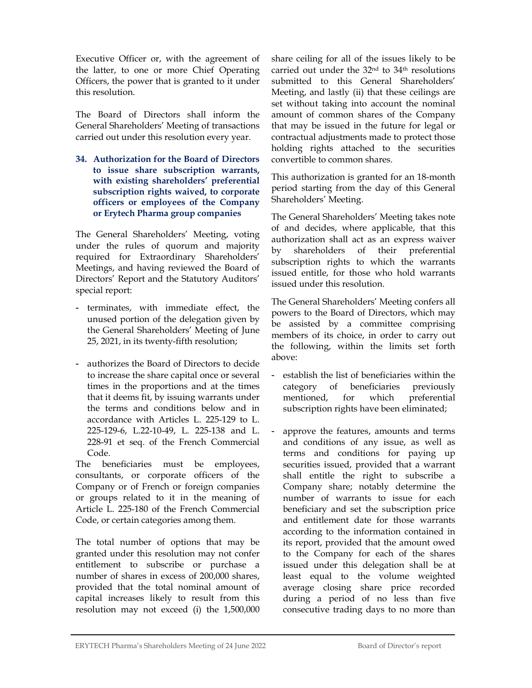Executive Officer or, with the agreement of the latter, to one or more Chief Operating Officers, the power that is granted to it under this resolution.

The Board of Directors shall inform the General Shareholders' Meeting of transactions carried out under this resolution every year.

34. Authorization for the Board of Directors to issue share subscription warrants, with existing shareholders' preferential subscription rights waived, to corporate officers or employees of the Company or Erytech Pharma group companies

The General Shareholders' Meeting, voting under the rules of quorum and majority required for Extraordinary Shareholders' Meetings, and having reviewed the Board of Directors' Report and the Statutory Auditors' special report:

- terminates, with immediate effect, the unused portion of the delegation given by the General Shareholders' Meeting of June 25, 2021, in its twenty-fifth resolution;
- authorizes the Board of Directors to decide to increase the share capital once or several times in the proportions and at the times that it deems fit, by issuing warrants under the terms and conditions below and in accordance with Articles L. 225-129 to L. 225-129-6, L.22-10-49, L. 225-138 and L. 228-91 et seq. of the French Commercial Code.

The beneficiaries must be employees, consultants, or corporate officers of the Company or of French or foreign companies or groups related to it in the meaning of Article L. 225-180 of the French Commercial Code, or certain categories among them.

The total number of options that may be granted under this resolution may not confer entitlement to subscribe or purchase a number of shares in excess of 200,000 shares, provided that the total nominal amount of capital increases likely to result from this resolution may not exceed (i) the 1,500,000 share ceiling for all of the issues likely to be carried out under the 32nd to 34th resolutions submitted to this General Shareholders' Meeting, and lastly (ii) that these ceilings are set without taking into account the nominal amount of common shares of the Company that may be issued in the future for legal or contractual adjustments made to protect those holding rights attached to the securities convertible to common shares.

This authorization is granted for an 18-month period starting from the day of this General Shareholders' Meeting.

The General Shareholders' Meeting takes note of and decides, where applicable, that this authorization shall act as an express waiver by shareholders of their preferential subscription rights to which the warrants issued entitle, for those who hold warrants issued under this resolution.

The General Shareholders' Meeting confers all powers to the Board of Directors, which may be assisted by a committee comprising members of its choice, in order to carry out the following, within the limits set forth above:

- establish the list of beneficiaries within the category of beneficiaries previously mentioned, for which preferential subscription rights have been eliminated;
- approve the features, amounts and terms and conditions of any issue, as well as terms and conditions for paying up securities issued, provided that a warrant shall entitle the right to subscribe a Company share; notably determine the number of warrants to issue for each beneficiary and set the subscription price and entitlement date for those warrants according to the information contained in its report, provided that the amount owed to the Company for each of the shares issued under this delegation shall be at least equal to the volume weighted average closing share price recorded during a period of no less than five consecutive trading days to no more than